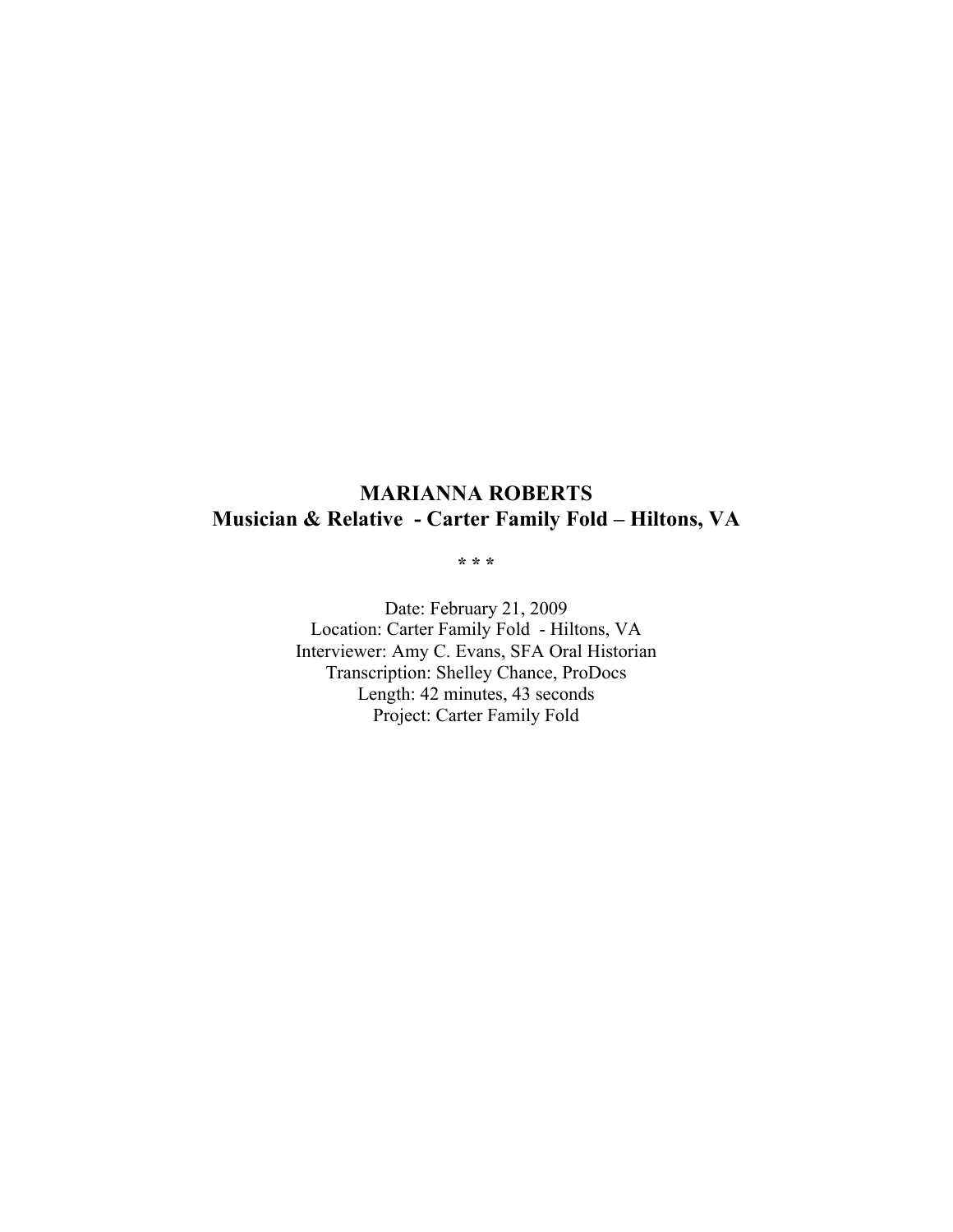# **MARIANNA ROBERTS Musician & Relative - Carter Family Fold – Hiltons, VA**

**\* \* \***

Date: February 21, 2009 Location: Carter Family Fold - Hiltons, VA Interviewer: Amy C. Evans, SFA Oral Historian Transcription: Shelley Chance, ProDocs Length: 42 minutes, 43 seconds Project: Carter Family Fold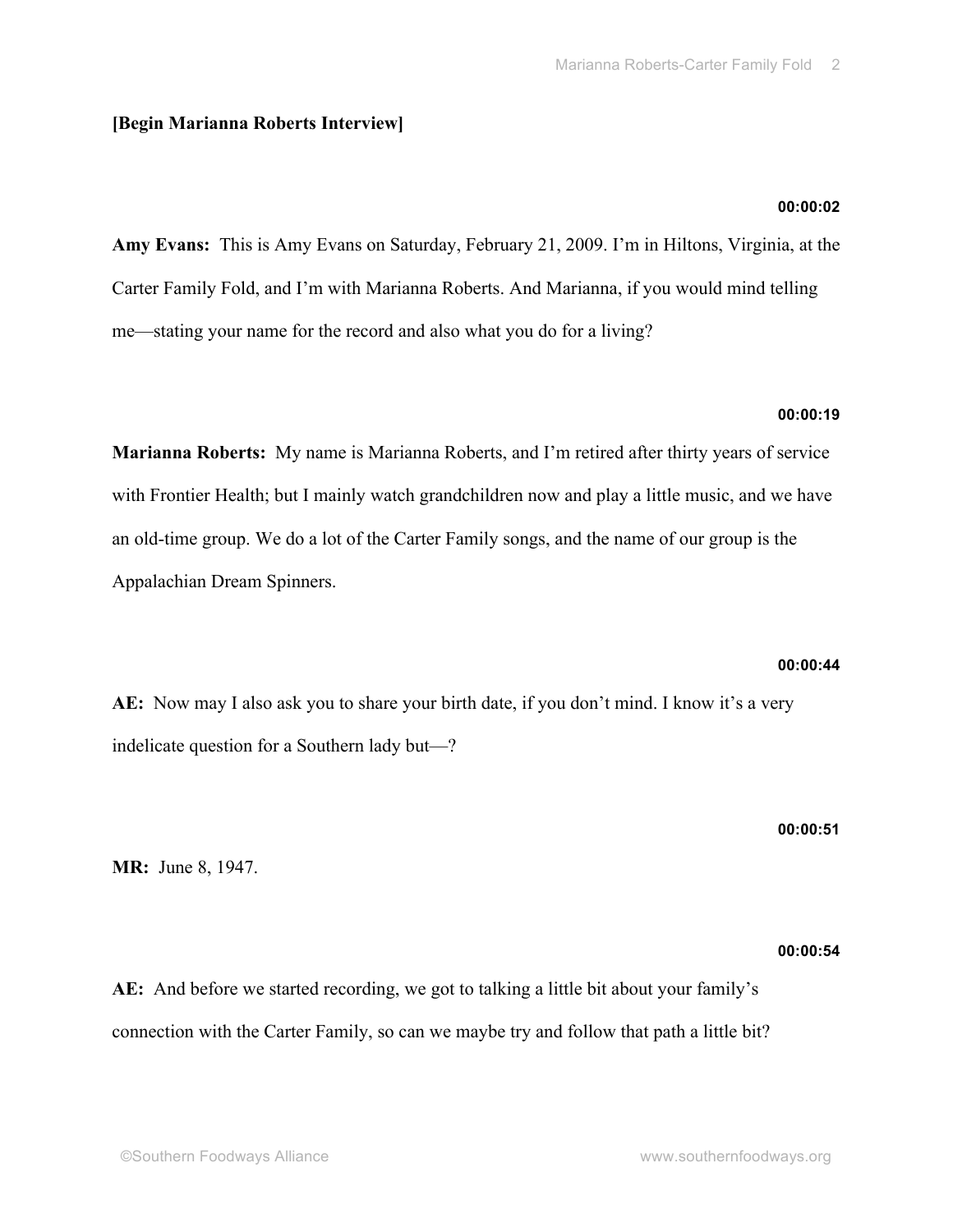# **[Begin Marianna Roberts Interview]**

# **00:00:02**

**Amy Evans:** This is Amy Evans on Saturday, February 21, 2009. I'm in Hiltons, Virginia, at the Carter Family Fold, and I'm with Marianna Roberts. And Marianna, if you would mind telling me—stating your name for the record and also what you do for a living?

# **00:00:19**

**Marianna Roberts:** My name is Marianna Roberts, and I'm retired after thirty years of service with Frontier Health; but I mainly watch grandchildren now and play a little music, and we have an old-time group. We do a lot of the Carter Family songs, and the name of our group is the Appalachian Dream Spinners.

# **00:00:44**

**AE:** Now may I also ask you to share your birth date, if you don't mind. I know it's a very indelicate question for a Southern lady but—?

**00:00:51**

**MR:** June 8, 1947.

# **00:00:54**

**AE:** And before we started recording, we got to talking a little bit about your family's connection with the Carter Family, so can we maybe try and follow that path a little bit?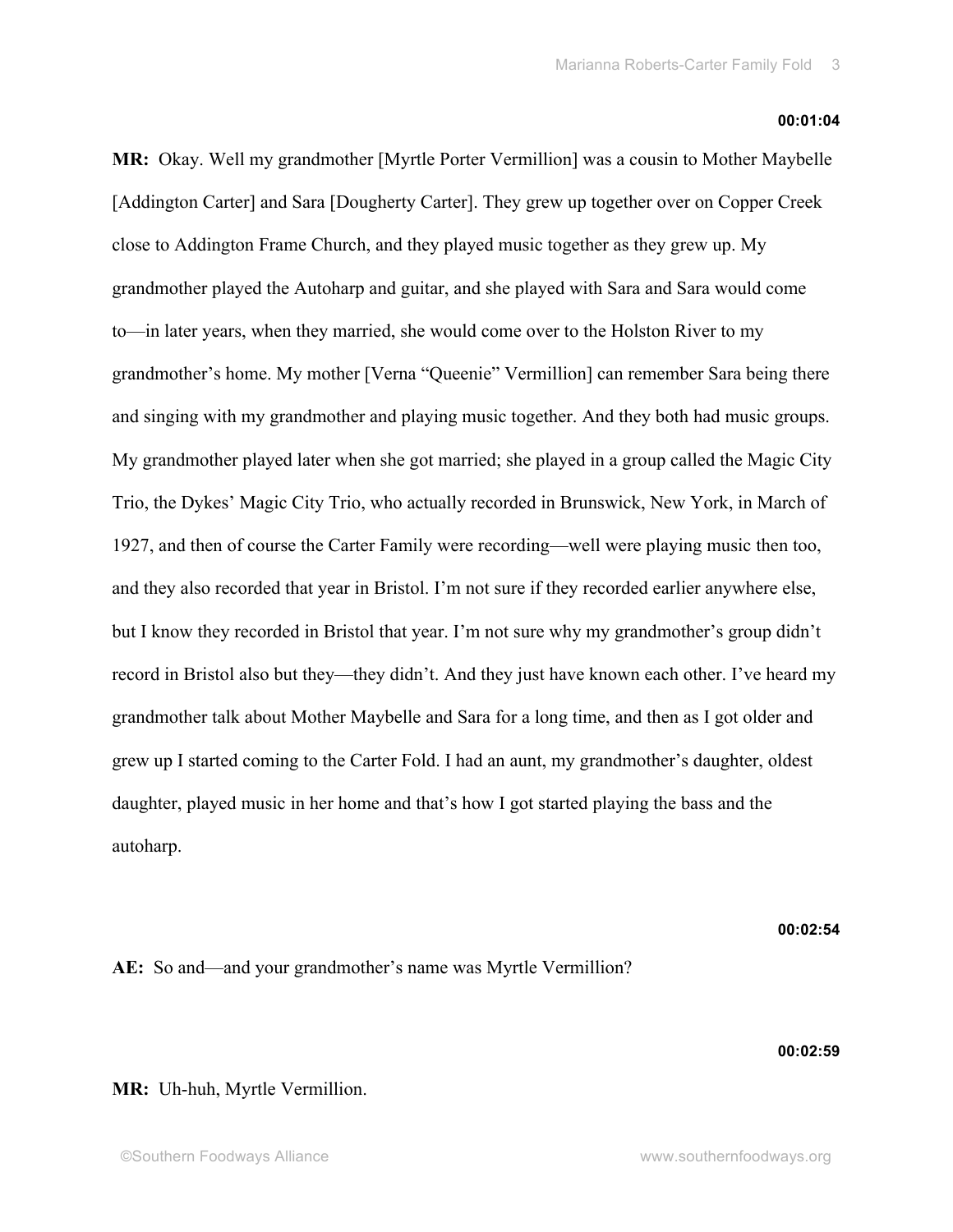### **00:01:04**

**MR:** Okay. Well my grandmother [Myrtle Porter Vermillion] was a cousin to Mother Maybelle [Addington Carter] and Sara [Dougherty Carter]. They grew up together over on Copper Creek close to Addington Frame Church, and they played music together as they grew up. My grandmother played the Autoharp and guitar, and she played with Sara and Sara would come to—in later years, when they married, she would come over to the Holston River to my grandmother's home. My mother [Verna "Queenie" Vermillion] can remember Sara being there and singing with my grandmother and playing music together. And they both had music groups. My grandmother played later when she got married; she played in a group called the Magic City Trio, the Dykes' Magic City Trio, who actually recorded in Brunswick, New York, in March of 1927, and then of course the Carter Family were recording—well were playing music then too, and they also recorded that year in Bristol. I'm not sure if they recorded earlier anywhere else, but I know they recorded in Bristol that year. I'm not sure why my grandmother's group didn't record in Bristol also but they—they didn't. And they just have known each other. I've heard my grandmother talk about Mother Maybelle and Sara for a long time, and then as I got older and grew up I started coming to the Carter Fold. I had an aunt, my grandmother's daughter, oldest daughter, played music in her home and that's how I got started playing the bass and the autoharp.

**00:02:54**

# **AE:** So and—and your grandmother's name was Myrtle Vermillion?

**00:02:59**

# **MR:** Uh-huh, Myrtle Vermillion.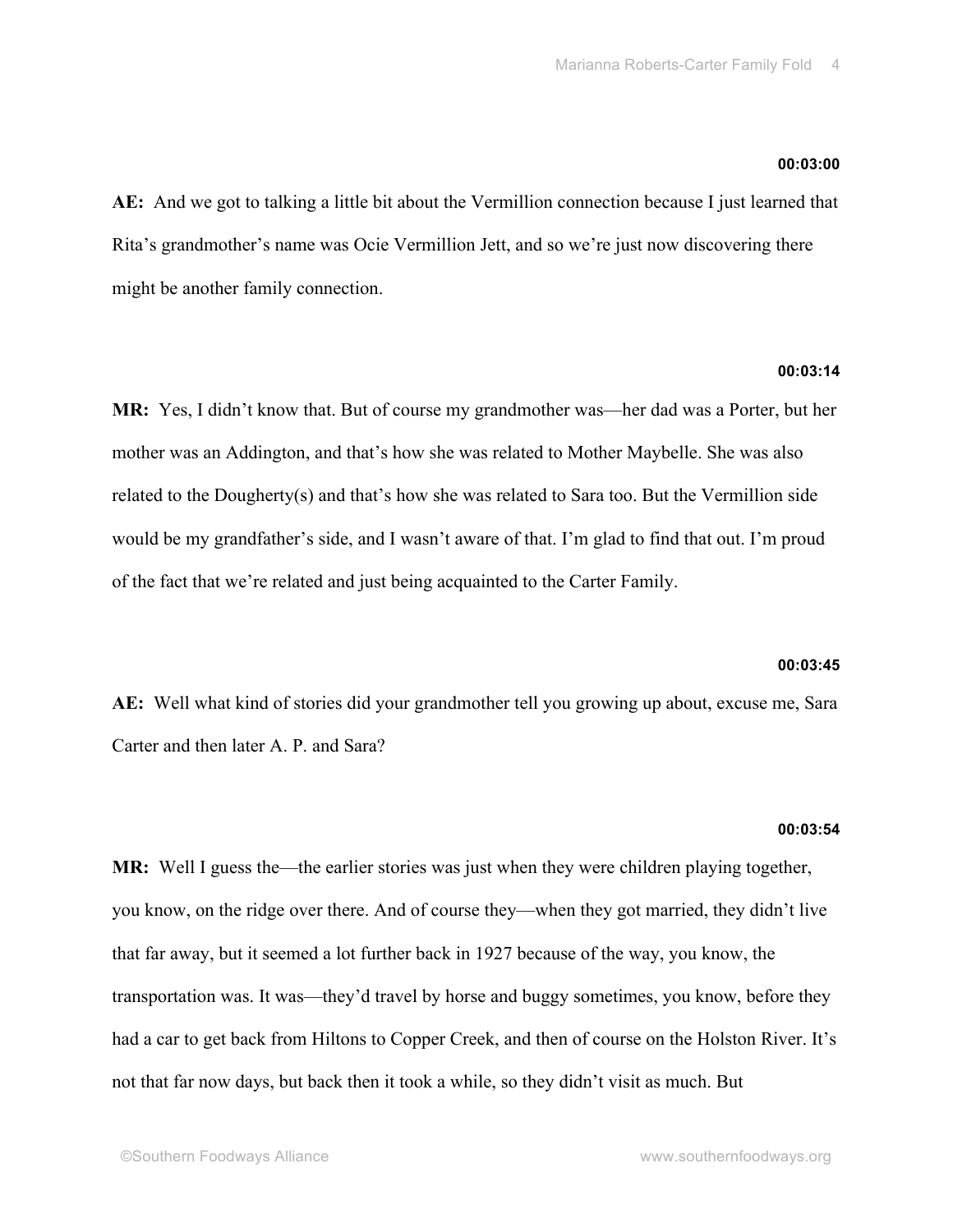### **00:03:00**

**AE:** And we got to talking a little bit about the Vermillion connection because I just learned that Rita's grandmother's name was Ocie Vermillion Jett, and so we're just now discovering there might be another family connection.

# **00:03:14**

**MR:** Yes, I didn't know that. But of course my grandmother was—her dad was a Porter, but her mother was an Addington, and that's how she was related to Mother Maybelle. She was also related to the Dougherty(s) and that's how she was related to Sara too. But the Vermillion side would be my grandfather's side, and I wasn't aware of that. I'm glad to find that out. I'm proud of the fact that we're related and just being acquainted to the Carter Family.

### **00:03:45**

**AE:** Well what kind of stories did your grandmother tell you growing up about, excuse me, Sara Carter and then later A. P. and Sara?

### **00:03:54**

**MR:** Well I guess the—the earlier stories was just when they were children playing together, you know, on the ridge over there. And of course they—when they got married, they didn't live that far away, but it seemed a lot further back in 1927 because of the way, you know, the transportation was. It was—they'd travel by horse and buggy sometimes, you know, before they had a car to get back from Hiltons to Copper Creek, and then of course on the Holston River. It's not that far now days, but back then it took a while, so they didn't visit as much. But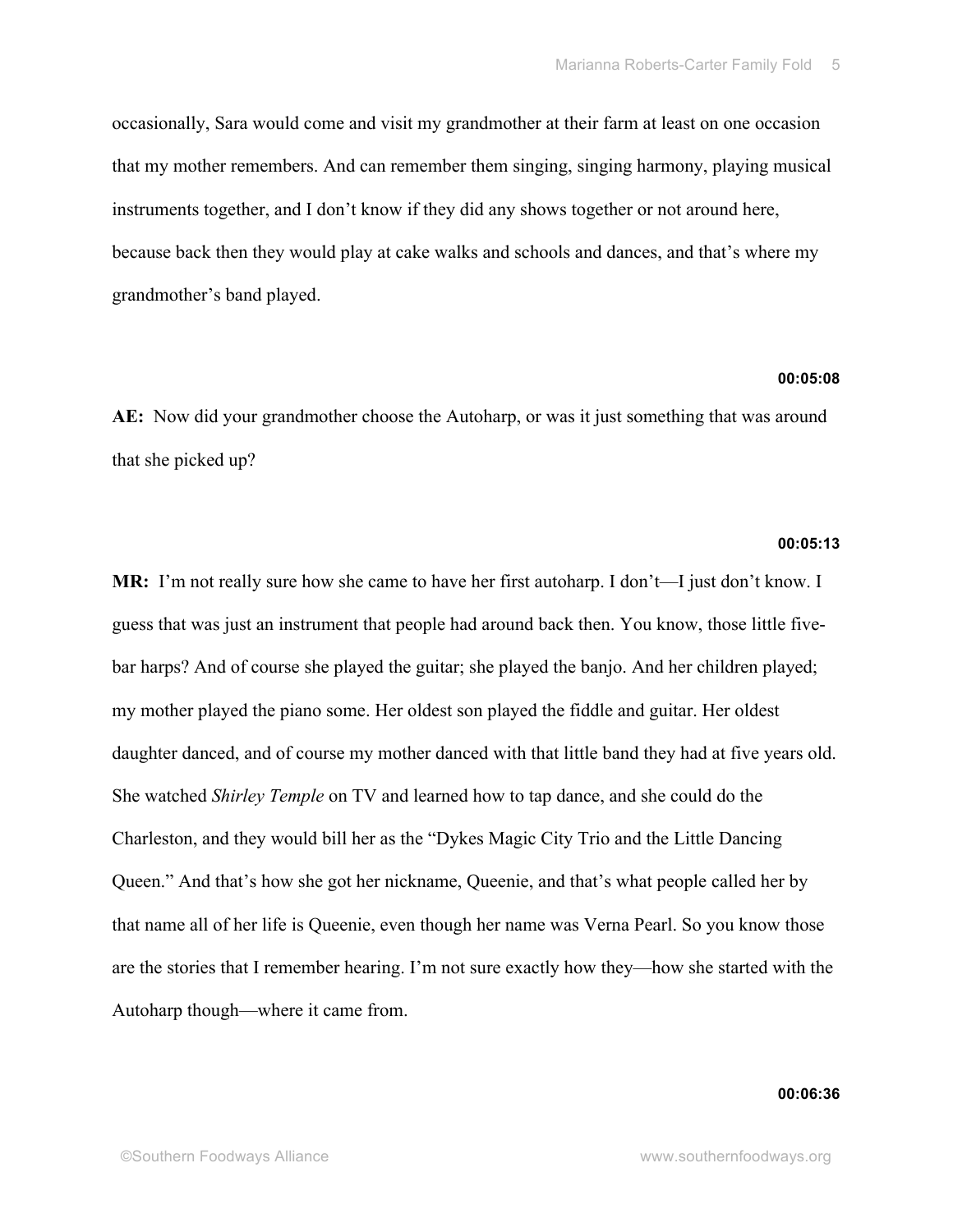occasionally, Sara would come and visit my grandmother at their farm at least on one occasion that my mother remembers. And can remember them singing, singing harmony, playing musical instruments together, and I don't know if they did any shows together or not around here, because back then they would play at cake walks and schools and dances, and that's where my grandmother's band played.

# **00:05:08**

**AE:** Now did your grandmother choose the Autoharp, or was it just something that was around that she picked up?

### **00:05:13**

**MR:** I'm not really sure how she came to have her first autoharp. I don't—I just don't know. I guess that was just an instrument that people had around back then. You know, those little fivebar harps? And of course she played the guitar; she played the banjo. And her children played; my mother played the piano some. Her oldest son played the fiddle and guitar. Her oldest daughter danced, and of course my mother danced with that little band they had at five years old. She watched *Shirley Temple* on TV and learned how to tap dance, and she could do the Charleston, and they would bill her as the "Dykes Magic City Trio and the Little Dancing Queen." And that's how she got her nickname, Queenie, and that's what people called her by that name all of her life is Queenie, even though her name was Verna Pearl. So you know those are the stories that I remember hearing. I'm not sure exactly how they—how she started with the Autoharp though—where it came from.

### **00:06:36**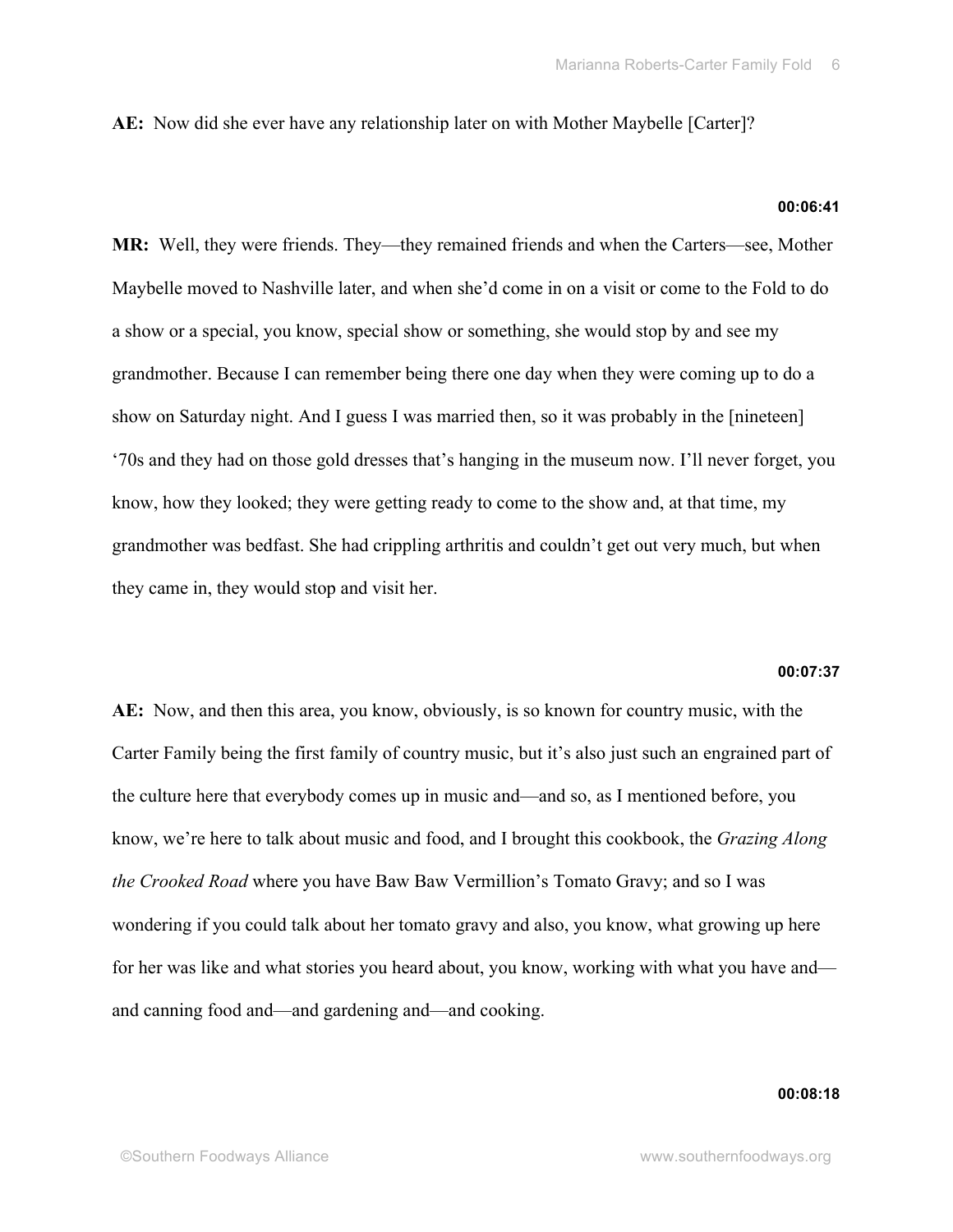**AE:** Now did she ever have any relationship later on with Mother Maybelle [Carter]?

# **00:06:41**

**MR:** Well, they were friends. They—they remained friends and when the Carters—see, Mother Maybelle moved to Nashville later, and when she'd come in on a visit or come to the Fold to do a show or a special, you know, special show or something, she would stop by and see my grandmother. Because I can remember being there one day when they were coming up to do a show on Saturday night. And I guess I was married then, so it was probably in the [nineteen] '70s and they had on those gold dresses that's hanging in the museum now. I'll never forget, you know, how they looked; they were getting ready to come to the show and, at that time, my grandmother was bedfast. She had crippling arthritis and couldn't get out very much, but when they came in, they would stop and visit her.

# **00:07:37**

**AE:** Now, and then this area, you know, obviously, is so known for country music, with the Carter Family being the first family of country music, but it's also just such an engrained part of the culture here that everybody comes up in music and—and so, as I mentioned before, you know, we're here to talk about music and food, and I brought this cookbook, the *Grazing Along the Crooked Road* where you have Baw Baw Vermillion's Tomato Gravy; and so I was wondering if you could talk about her tomato gravy and also, you know, what growing up here for her was like and what stories you heard about, you know, working with what you have and and canning food and—and gardening and—and cooking.

### **00:08:18**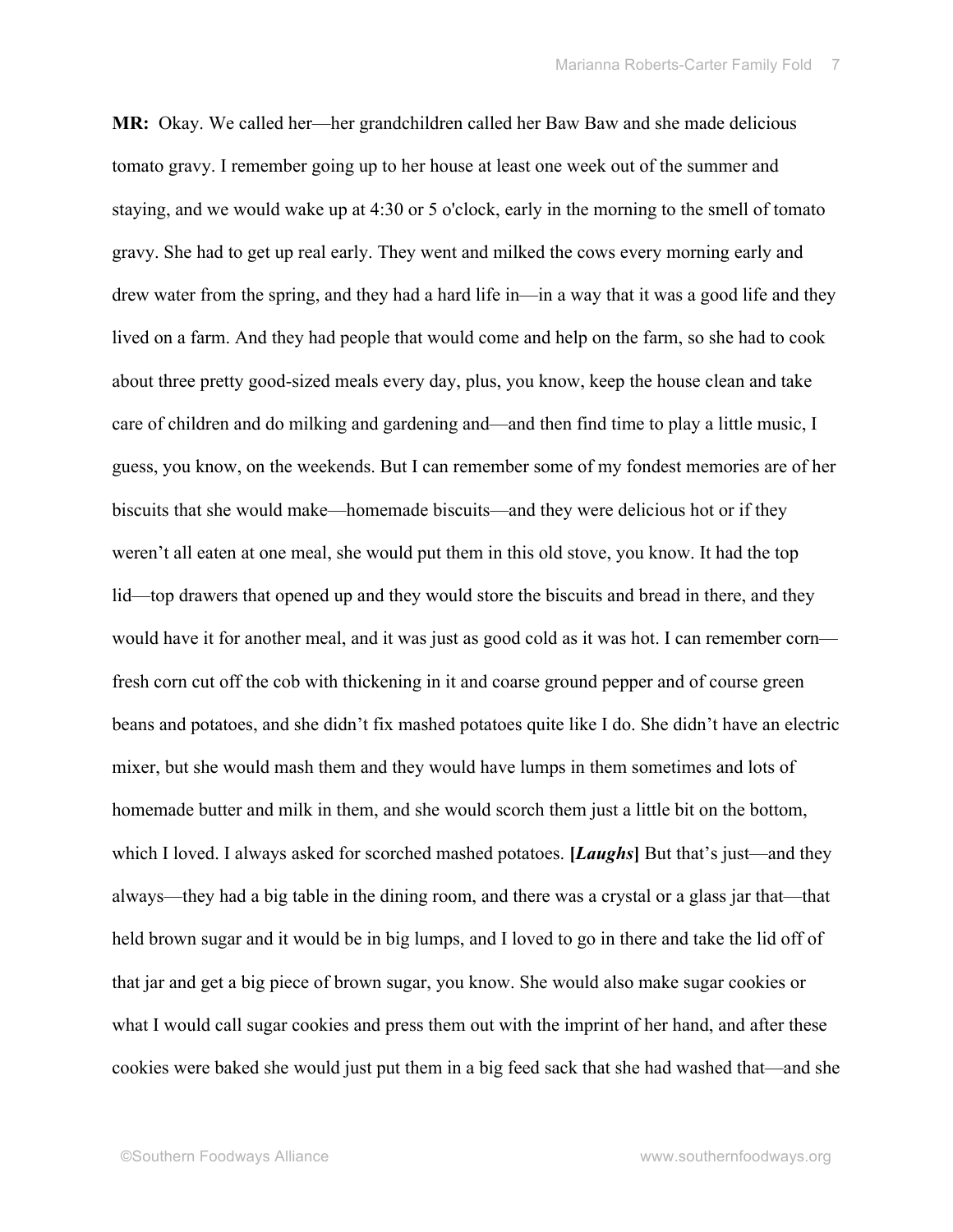**MR:** Okay. We called her—her grandchildren called her Baw Baw and she made delicious tomato gravy. I remember going up to her house at least one week out of the summer and staying, and we would wake up at 4:30 or 5 o'clock, early in the morning to the smell of tomato gravy. She had to get up real early. They went and milked the cows every morning early and drew water from the spring, and they had a hard life in—in a way that it was a good life and they lived on a farm. And they had people that would come and help on the farm, so she had to cook about three pretty good-sized meals every day, plus, you know, keep the house clean and take care of children and do milking and gardening and—and then find time to play a little music, I guess, you know, on the weekends. But I can remember some of my fondest memories are of her biscuits that she would make—homemade biscuits—and they were delicious hot or if they weren't all eaten at one meal, she would put them in this old stove, you know. It had the top lid—top drawers that opened up and they would store the biscuits and bread in there, and they would have it for another meal, and it was just as good cold as it was hot. I can remember corn fresh corn cut off the cob with thickening in it and coarse ground pepper and of course green beans and potatoes, and she didn't fix mashed potatoes quite like I do. She didn't have an electric mixer, but she would mash them and they would have lumps in them sometimes and lots of homemade butter and milk in them, and she would scorch them just a little bit on the bottom, which I loved. I always asked for scorched mashed potatoes. **[***Laughs***]** But that's just—and they always—they had a big table in the dining room, and there was a crystal or a glass jar that—that held brown sugar and it would be in big lumps, and I loved to go in there and take the lid off of that jar and get a big piece of brown sugar, you know. She would also make sugar cookies or what I would call sugar cookies and press them out with the imprint of her hand, and after these cookies were baked she would just put them in a big feed sack that she had washed that—and she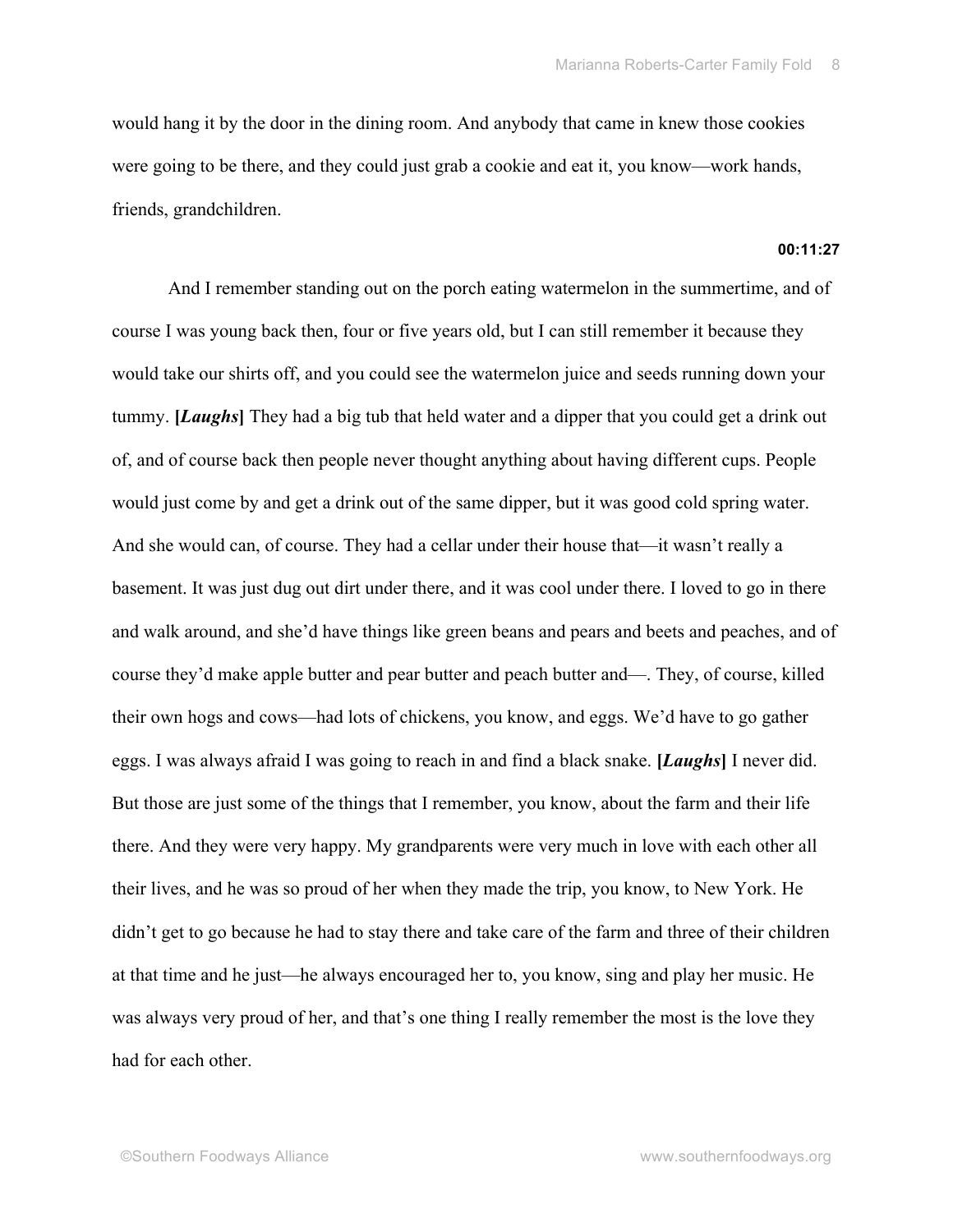would hang it by the door in the dining room. And anybody that came in knew those cookies were going to be there, and they could just grab a cookie and eat it, you know—work hands, friends, grandchildren.

# **00:11:27**

And I remember standing out on the porch eating watermelon in the summertime, and of course I was young back then, four or five years old, but I can still remember it because they would take our shirts off, and you could see the watermelon juice and seeds running down your tummy. **[***Laughs***]** They had a big tub that held water and a dipper that you could get a drink out of, and of course back then people never thought anything about having different cups. People would just come by and get a drink out of the same dipper, but it was good cold spring water. And she would can, of course. They had a cellar under their house that—it wasn't really a basement. It was just dug out dirt under there, and it was cool under there. I loved to go in there and walk around, and she'd have things like green beans and pears and beets and peaches, and of course they'd make apple butter and pear butter and peach butter and—. They, of course, killed their own hogs and cows—had lots of chickens, you know, and eggs. We'd have to go gather eggs. I was always afraid I was going to reach in and find a black snake. **[***Laughs***]** I never did. But those are just some of the things that I remember, you know, about the farm and their life there. And they were very happy. My grandparents were very much in love with each other all their lives, and he was so proud of her when they made the trip, you know, to New York. He didn't get to go because he had to stay there and take care of the farm and three of their children at that time and he just—he always encouraged her to, you know, sing and play her music. He was always very proud of her, and that's one thing I really remember the most is the love they had for each other.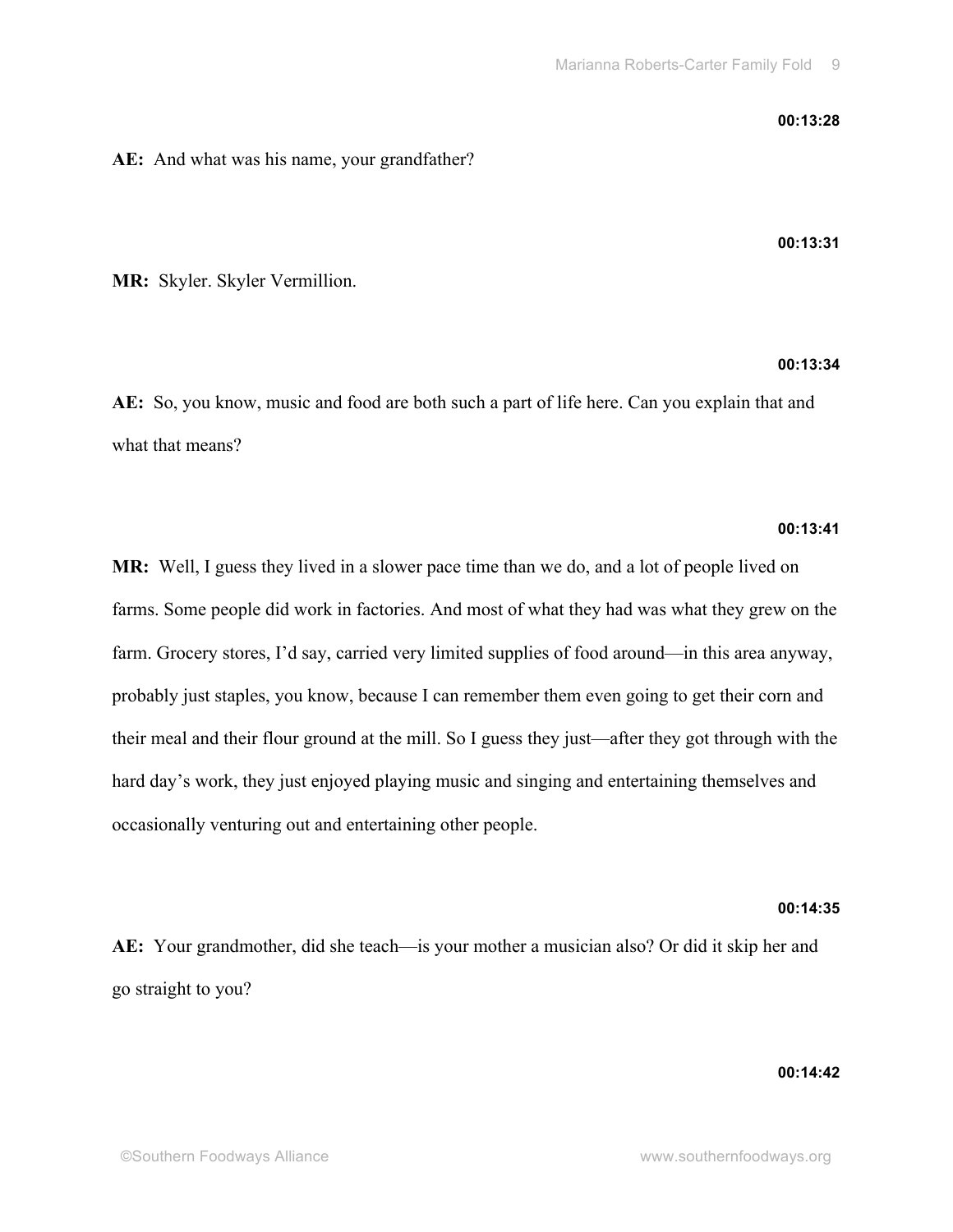### **00:13:28**

# **AE:** And what was his name, your grandfather?

**00:13:31**

**MR:** Skyler. Skyler Vermillion.

# **00:13:34**

**AE:** So, you know, music and food are both such a part of life here. Can you explain that and what that means?

### **00:13:41**

**MR:** Well, I guess they lived in a slower pace time than we do, and a lot of people lived on farms. Some people did work in factories. And most of what they had was what they grew on the farm. Grocery stores, I'd say, carried very limited supplies of food around—in this area anyway, probably just staples, you know, because I can remember them even going to get their corn and their meal and their flour ground at the mill. So I guess they just—after they got through with the hard day's work, they just enjoyed playing music and singing and entertaining themselves and occasionally venturing out and entertaining other people.

# **00:14:35**

**AE:** Your grandmother, did she teach—is your mother a musician also? Or did it skip her and go straight to you?

# **00:14:42**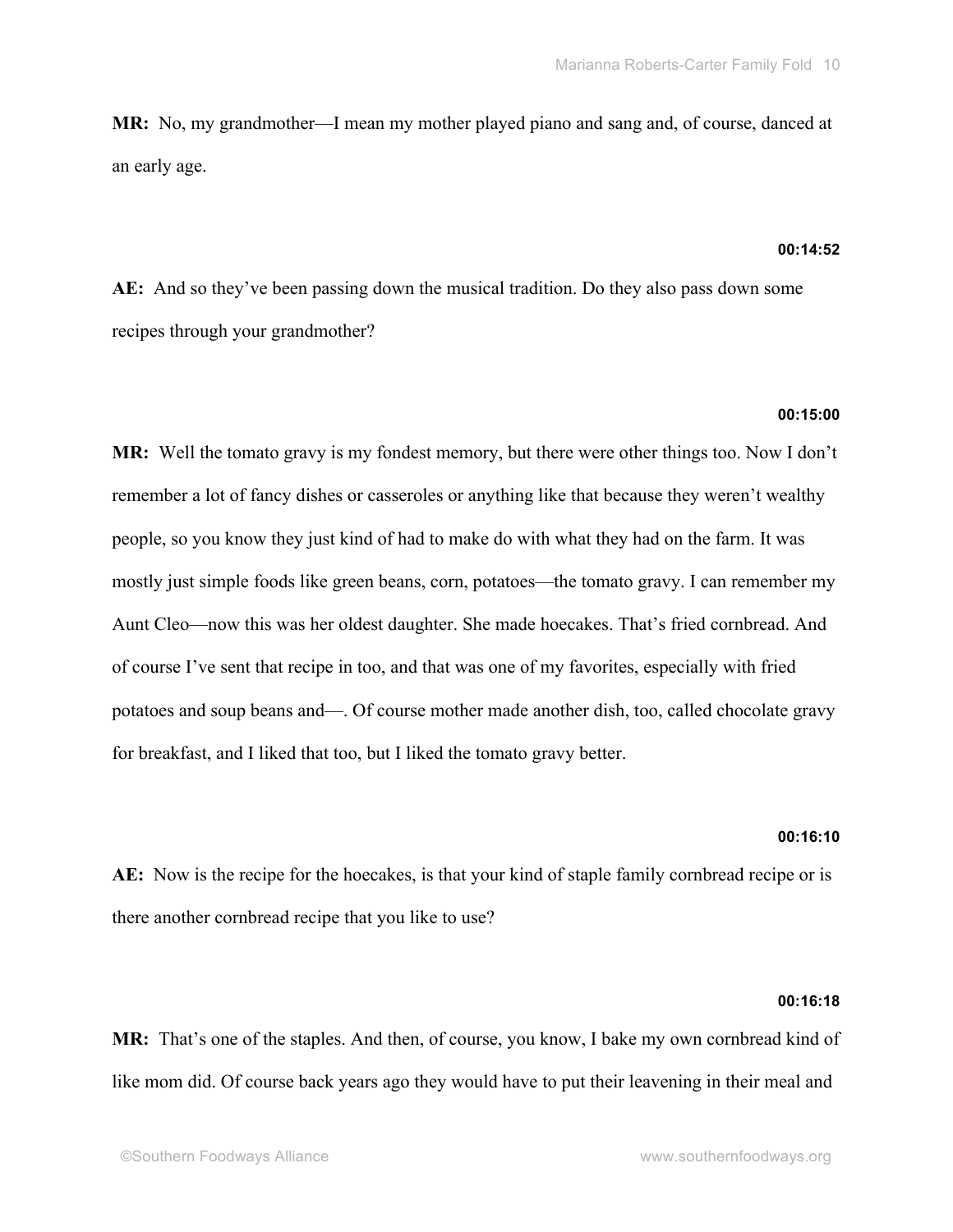**MR:** No, my grandmother—I mean my mother played piano and sang and, of course, danced at an early age.

### **00:14:52**

**AE:** And so they've been passing down the musical tradition. Do they also pass down some recipes through your grandmother?

### **00:15:00**

**MR:** Well the tomato gravy is my fondest memory, but there were other things too. Now I don't remember a lot of fancy dishes or casseroles or anything like that because they weren't wealthy people, so you know they just kind of had to make do with what they had on the farm. It was mostly just simple foods like green beans, corn, potatoes—the tomato gravy. I can remember my Aunt Cleo—now this was her oldest daughter. She made hoecakes. That's fried cornbread. And of course I've sent that recipe in too, and that was one of my favorites, especially with fried potatoes and soup beans and—. Of course mother made another dish, too, called chocolate gravy for breakfast, and I liked that too, but I liked the tomato gravy better.

### **00:16:10**

**AE:** Now is the recipe for the hoecakes, is that your kind of staple family cornbread recipe or is there another cornbread recipe that you like to use?

### **00:16:18**

**MR:** That's one of the staples. And then, of course, you know, I bake my own cornbread kind of like mom did. Of course back years ago they would have to put their leavening in their meal and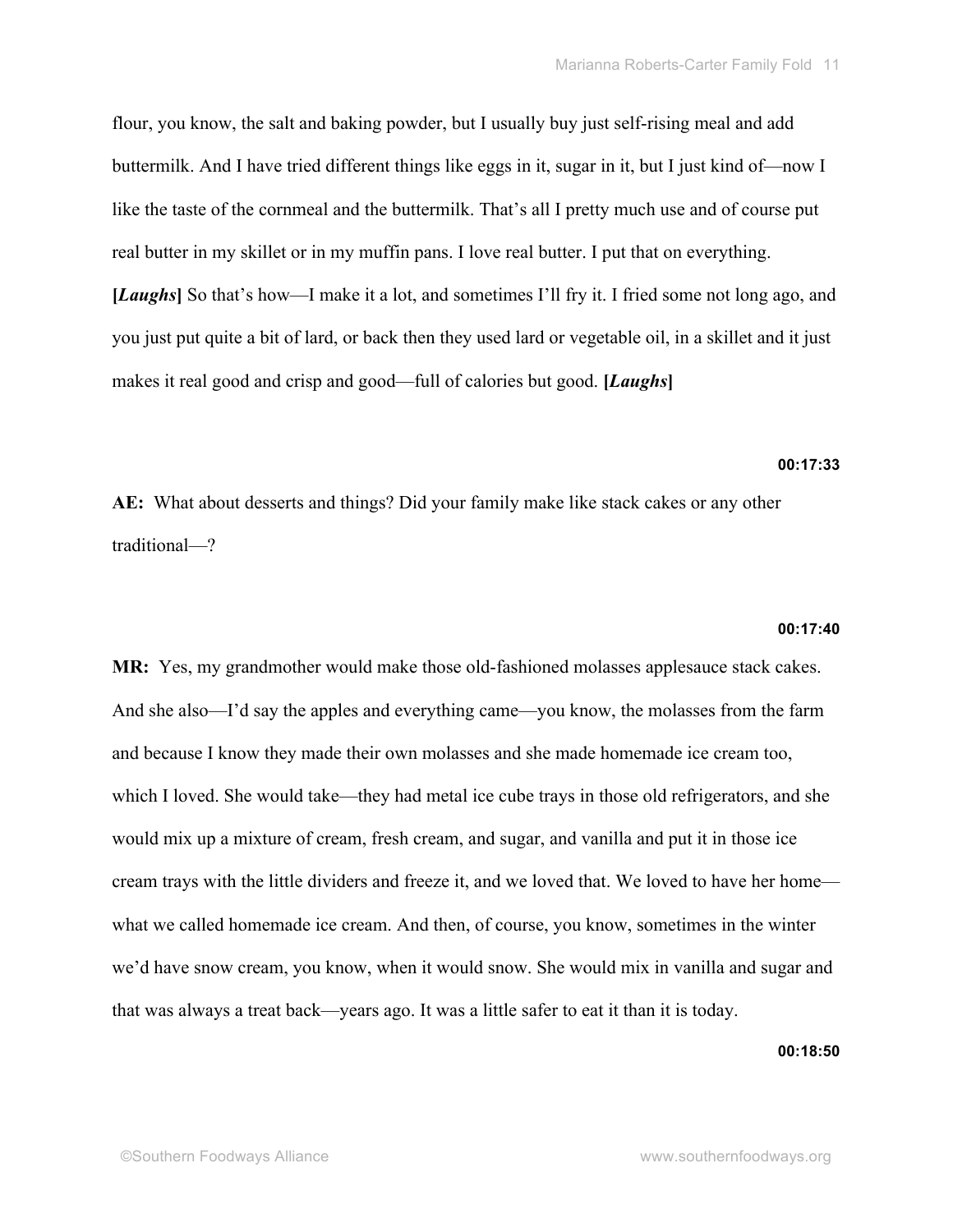flour, you know, the salt and baking powder, but I usually buy just self-rising meal and add buttermilk. And I have tried different things like eggs in it, sugar in it, but I just kind of—now I like the taste of the cornmeal and the buttermilk. That's all I pretty much use and of course put real butter in my skillet or in my muffin pans. I love real butter. I put that on everything. **[***Laughs***]** So that's how—I make it a lot, and sometimes I'll fry it. I fried some not long ago, and you just put quite a bit of lard, or back then they used lard or vegetable oil, in a skillet and it just makes it real good and crisp and good—full of calories but good. **[***Laughs***]**

# **00:17:33**

**AE:** What about desserts and things? Did your family make like stack cakes or any other traditional—?

### **00:17:40**

**MR:** Yes, my grandmother would make those old-fashioned molasses applesauce stack cakes. And she also—I'd say the apples and everything came—you know, the molasses from the farm and because I know they made their own molasses and she made homemade ice cream too, which I loved. She would take—they had metal ice cube trays in those old refrigerators, and she would mix up a mixture of cream, fresh cream, and sugar, and vanilla and put it in those ice cream trays with the little dividers and freeze it, and we loved that. We loved to have her home what we called homemade ice cream. And then, of course, you know, sometimes in the winter we'd have snow cream, you know, when it would snow. She would mix in vanilla and sugar and that was always a treat back—years ago. It was a little safer to eat it than it is today.

### **00:18:50**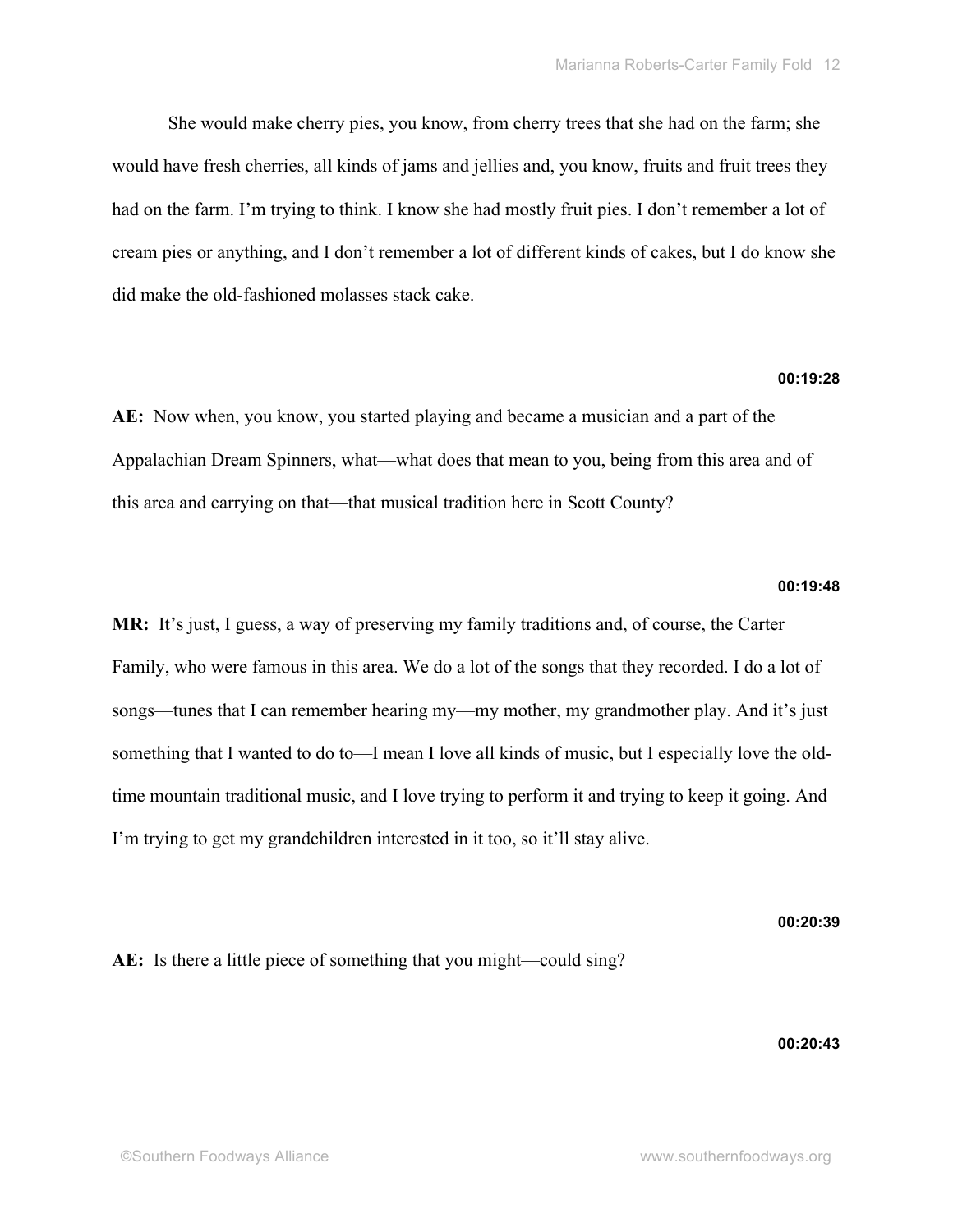She would make cherry pies, you know, from cherry trees that she had on the farm; she would have fresh cherries, all kinds of jams and jellies and, you know, fruits and fruit trees they had on the farm. I'm trying to think. I know she had mostly fruit pies. I don't remember a lot of cream pies or anything, and I don't remember a lot of different kinds of cakes, but I do know she did make the old-fashioned molasses stack cake.

# **00:19:28**

**AE:** Now when, you know, you started playing and became a musician and a part of the Appalachian Dream Spinners, what—what does that mean to you, being from this area and of this area and carrying on that—that musical tradition here in Scott County?

# **00:19:48**

**MR:** It's just, I guess, a way of preserving my family traditions and, of course, the Carter Family, who were famous in this area. We do a lot of the songs that they recorded. I do a lot of songs—tunes that I can remember hearing my—my mother, my grandmother play. And it's just something that I wanted to do to—I mean I love all kinds of music, but I especially love the oldtime mountain traditional music, and I love trying to perform it and trying to keep it going. And I'm trying to get my grandchildren interested in it too, so it'll stay alive.

### **00:20:39**

# AE: Is there a little piece of something that you might—could sing?

### **00:20:43**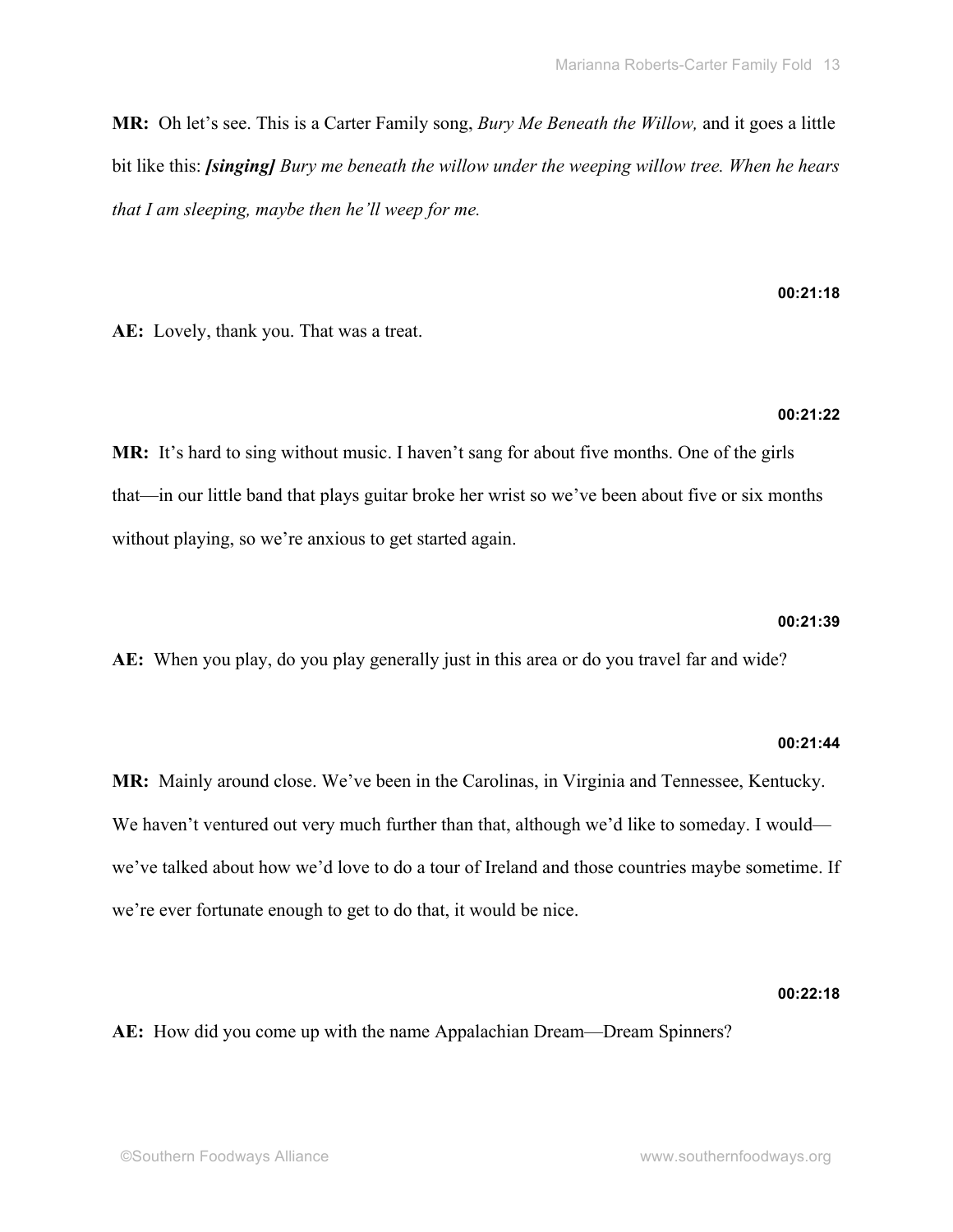**MR:** Oh let's see. This is a Carter Family song, *Bury Me Beneath the Willow,* and it goes a little bit like this: *[singing] Bury me beneath the willow under the weeping willow tree. When he hears that I am sleeping, maybe then he'll weep for me.* 

**AE:** Lovely, thank you. That was a treat.

## **00:21:22**

**00:21:18**

**MR:** It's hard to sing without music. I haven't sang for about five months. One of the girls that—in our little band that plays guitar broke her wrist so we've been about five or six months without playing, so we're anxious to get started again.

# **00:21:39**

**AE:** When you play, do you play generally just in this area or do you travel far and wide?

# **00:21:44**

**MR:** Mainly around close. We've been in the Carolinas, in Virginia and Tennessee, Kentucky. We haven't ventured out very much further than that, although we'd like to someday. I would we've talked about how we'd love to do a tour of Ireland and those countries maybe sometime. If we're ever fortunate enough to get to do that, it would be nice.

# **00:22:18**

**AE:** How did you come up with the name Appalachian Dream—Dream Spinners?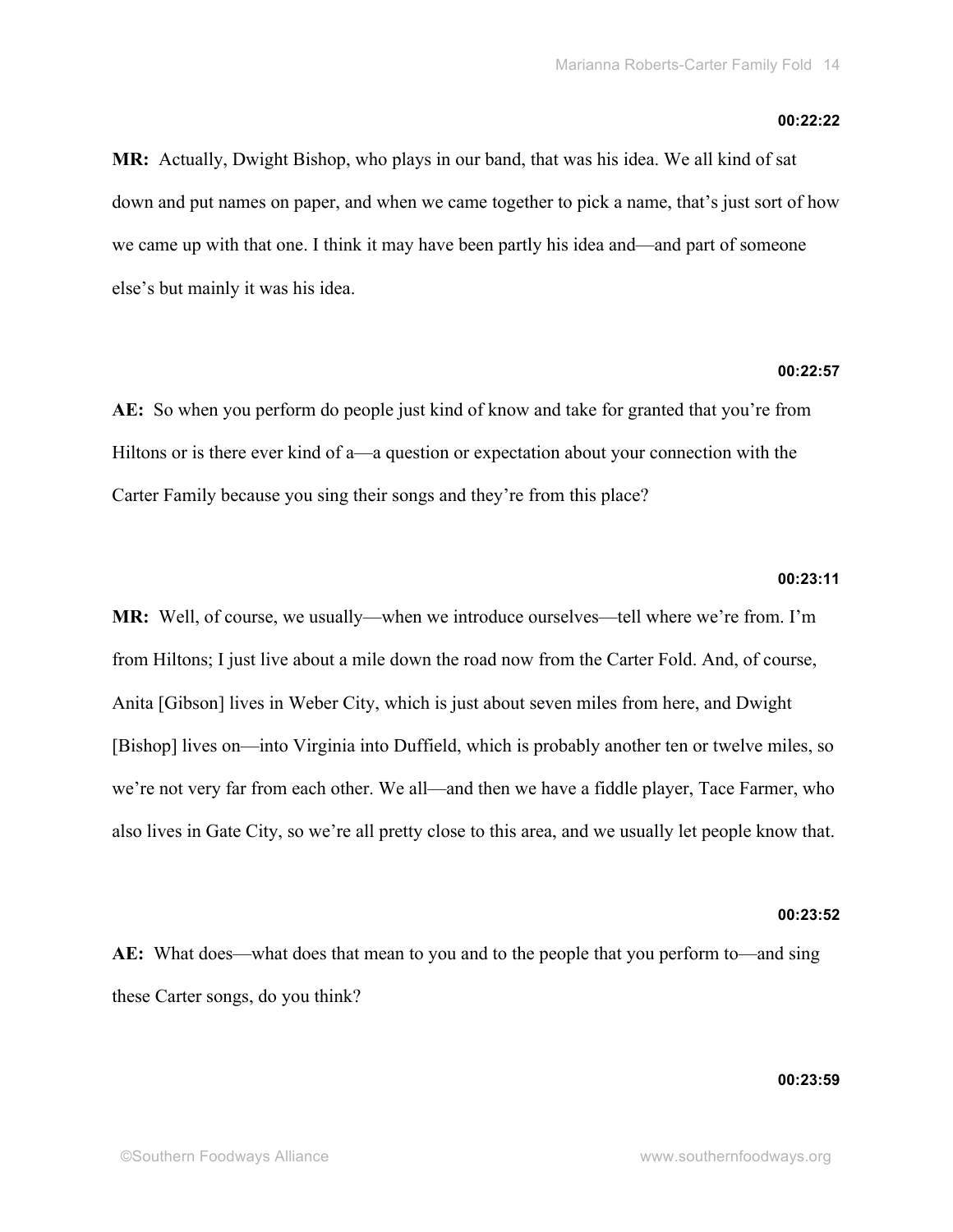### **00:22:22**

**MR:** Actually, Dwight Bishop, who plays in our band, that was his idea. We all kind of sat down and put names on paper, and when we came together to pick a name, that's just sort of how we came up with that one. I think it may have been partly his idea and—and part of someone else's but mainly it was his idea.

### **00:22:57**

**AE:** So when you perform do people just kind of know and take for granted that you're from Hiltons or is there ever kind of a—a question or expectation about your connection with the Carter Family because you sing their songs and they're from this place?

#### **00:23:11**

**MR:** Well, of course, we usually—when we introduce ourselves—tell where we're from. I'm from Hiltons; I just live about a mile down the road now from the Carter Fold. And, of course, Anita [Gibson] lives in Weber City, which is just about seven miles from here, and Dwight [Bishop] lives on—into Virginia into Duffield, which is probably another ten or twelve miles, so we're not very far from each other. We all—and then we have a fiddle player, Tace Farmer, who also lives in Gate City, so we're all pretty close to this area, and we usually let people know that.

# **00:23:52**

**AE:** What does—what does that mean to you and to the people that you perform to—and sing these Carter songs, do you think?

## **00:23:59**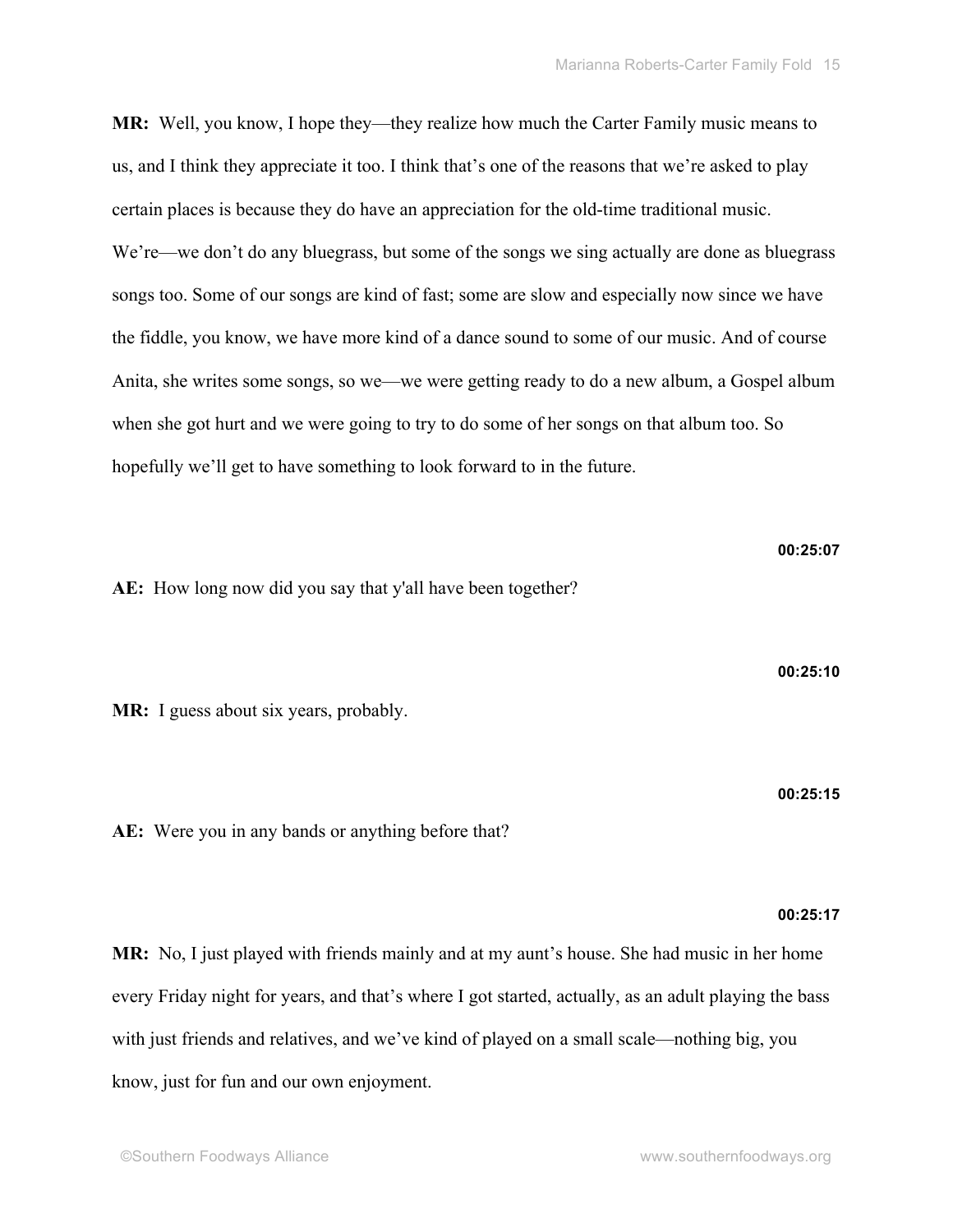**MR:** Well, you know, I hope they—they realize how much the Carter Family music means to us, and I think they appreciate it too. I think that's one of the reasons that we're asked to play certain places is because they do have an appreciation for the old-time traditional music. We're—we don't do any bluegrass, but some of the songs we sing actually are done as bluegrass songs too. Some of our songs are kind of fast; some are slow and especially now since we have the fiddle, you know, we have more kind of a dance sound to some of our music. And of course Anita, she writes some songs, so we—we were getting ready to do a new album, a Gospel album when she got hurt and we were going to try to do some of her songs on that album too. So hopefully we'll get to have something to look forward to in the future.

**AE:** How long now did you say that y'all have been together?

**MR:** I guess about six years, probably.

**AE:** Were you in any bands or anything before that?

# **00:25:17**

**MR:** No, I just played with friends mainly and at my aunt's house. She had music in her home every Friday night for years, and that's where I got started, actually, as an adult playing the bass with just friends and relatives, and we've kind of played on a small scale—nothing big, you know, just for fun and our own enjoyment.

**00:25:07**

**00:25:10**

**00:25:15**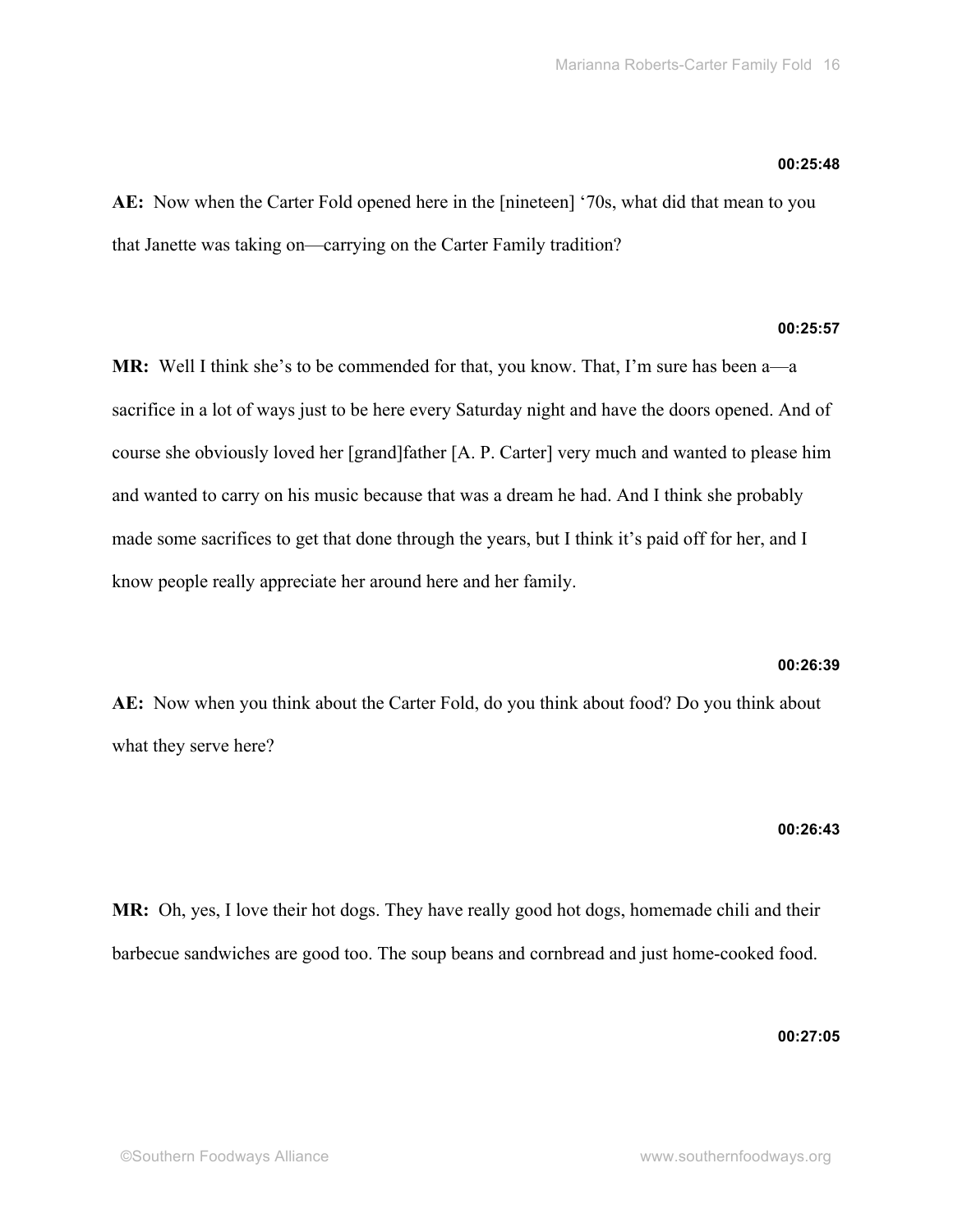### **00:25:48**

**AE:** Now when the Carter Fold opened here in the [nineteen] '70s, what did that mean to you that Janette was taking on—carrying on the Carter Family tradition?

# **00:25:57**

**MR:** Well I think she's to be commended for that, you know. That, I'm sure has been a—a sacrifice in a lot of ways just to be here every Saturday night and have the doors opened. And of course she obviously loved her [grand]father [A. P. Carter] very much and wanted to please him and wanted to carry on his music because that was a dream he had. And I think she probably made some sacrifices to get that done through the years, but I think it's paid off for her, and I know people really appreciate her around here and her family.

### **00:26:39**

**AE:** Now when you think about the Carter Fold, do you think about food? Do you think about what they serve here?

### **00:26:43**

**MR:** Oh, yes, I love their hot dogs. They have really good hot dogs, homemade chili and their barbecue sandwiches are good too. The soup beans and cornbread and just home-cooked food.

**00:27:05**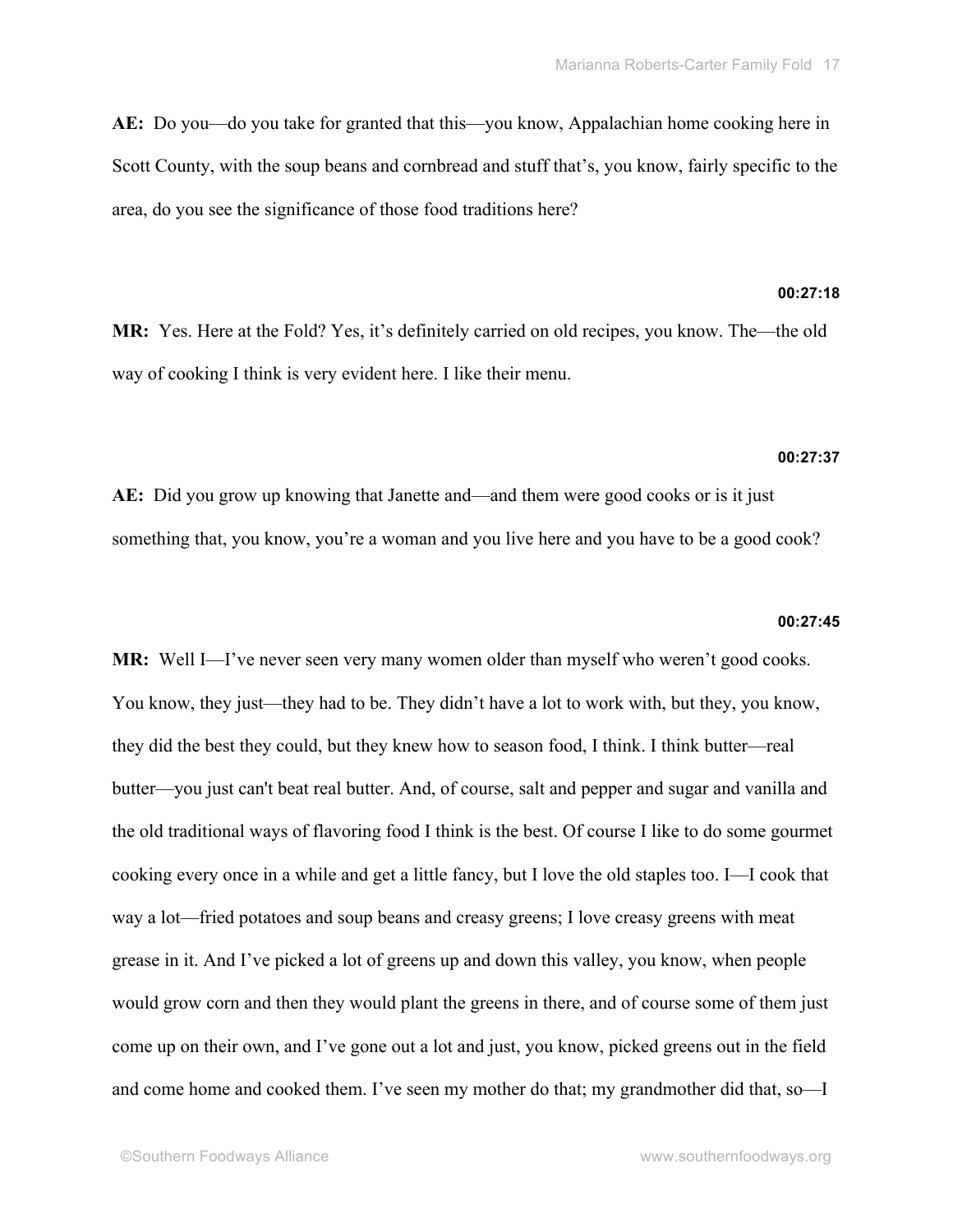**AE:** Do you—do you take for granted that this—you know, Appalachian home cooking here in Scott County, with the soup beans and cornbread and stuff that's, you know, fairly specific to the area, do you see the significance of those food traditions here?

# **00:27:18**

**MR:** Yes. Here at the Fold? Yes, it's definitely carried on old recipes, you know. The—the old way of cooking I think is very evident here. I like their menu.

### **00:27:37**

**AE:** Did you grow up knowing that Janette and—and them were good cooks or is it just something that, you know, you're a woman and you live here and you have to be a good cook?

### **00:27:45**

**MR:** Well I—I've never seen very many women older than myself who weren't good cooks. You know, they just—they had to be. They didn't have a lot to work with, but they, you know, they did the best they could, but they knew how to season food, I think. I think butter—real butter—you just can't beat real butter. And, of course, salt and pepper and sugar and vanilla and the old traditional ways of flavoring food I think is the best. Of course I like to do some gourmet cooking every once in a while and get a little fancy, but I love the old staples too. I—I cook that way a lot—fried potatoes and soup beans and creasy greens; I love creasy greens with meat grease in it. And I've picked a lot of greens up and down this valley, you know, when people would grow corn and then they would plant the greens in there, and of course some of them just come up on their own, and I've gone out a lot and just, you know, picked greens out in the field and come home and cooked them. I've seen my mother do that; my grandmother did that, so—I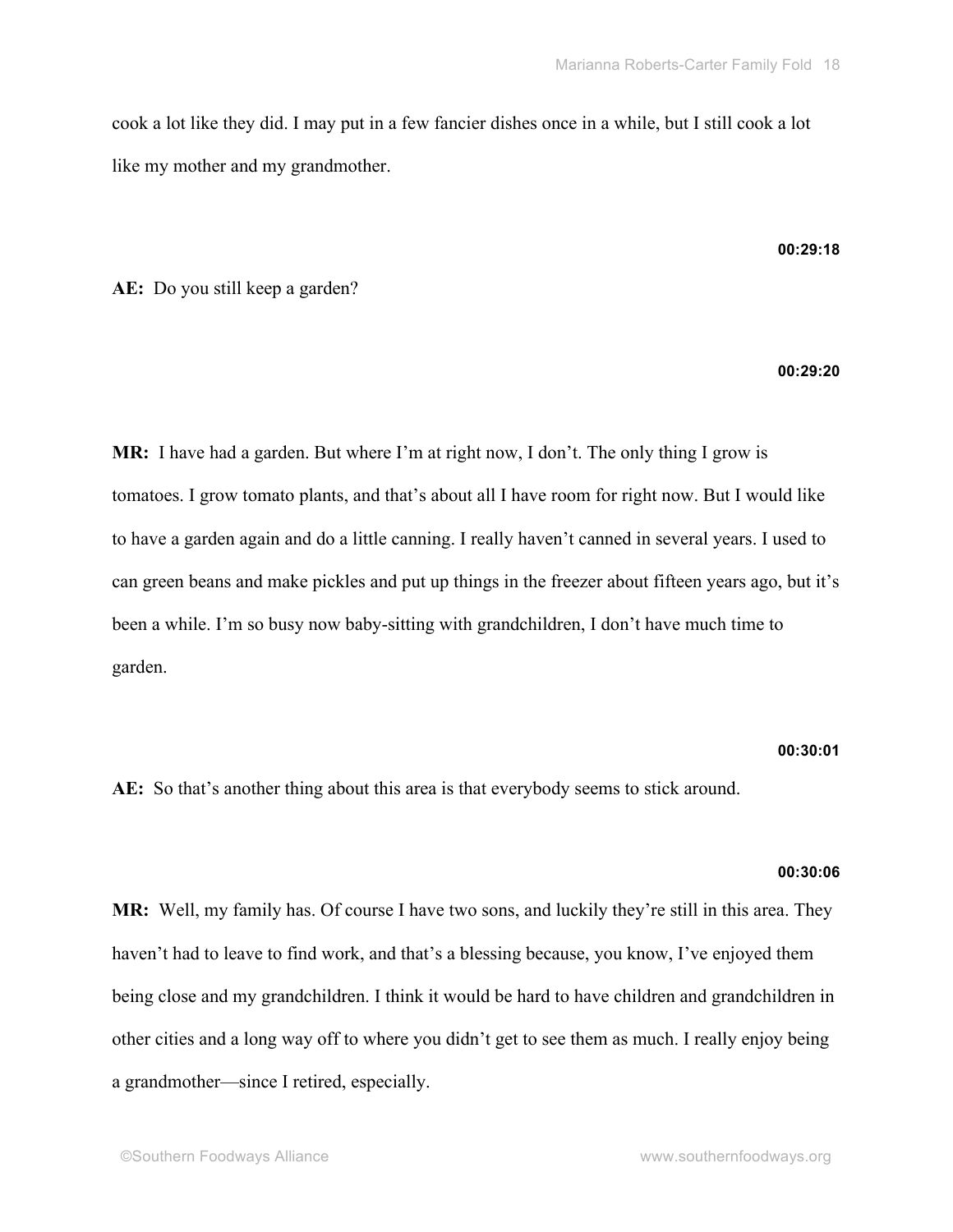cook a lot like they did. I may put in a few fancier dishes once in a while, but I still cook a lot like my mother and my grandmother.

### **00:29:18**

**AE:** Do you still keep a garden?

# **00:29:20**

**MR:** I have had a garden. But where I'm at right now, I don't. The only thing I grow is tomatoes. I grow tomato plants, and that's about all I have room for right now. But I would like to have a garden again and do a little canning. I really haven't canned in several years. I used to can green beans and make pickles and put up things in the freezer about fifteen years ago, but it's been a while. I'm so busy now baby-sitting with grandchildren, I don't have much time to garden.

# **00:30:01**

**AE:** So that's another thing about this area is that everybody seems to stick around.

### **00:30:06**

**MR:** Well, my family has. Of course I have two sons, and luckily they're still in this area. They haven't had to leave to find work, and that's a blessing because, you know, I've enjoyed them being close and my grandchildren. I think it would be hard to have children and grandchildren in other cities and a long way off to where you didn't get to see them as much. I really enjoy being a grandmother—since I retired, especially.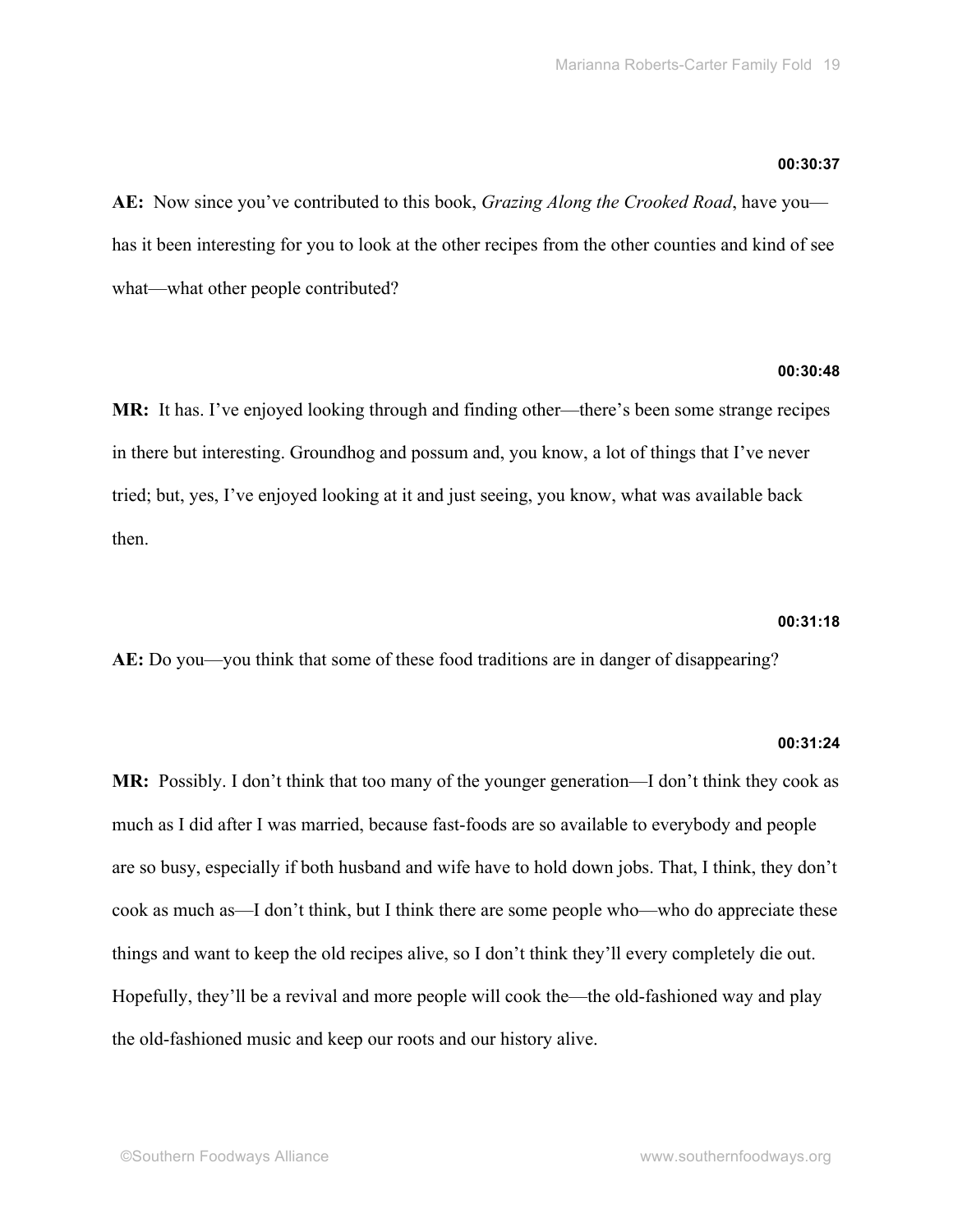### **00:30:37**

**AE:** Now since you've contributed to this book, *Grazing Along the Crooked Road*, have you has it been interesting for you to look at the other recipes from the other counties and kind of see what—what other people contributed?

# **00:30:48**

**MR:** It has. I've enjoyed looking through and finding other—there's been some strange recipes in there but interesting. Groundhog and possum and, you know, a lot of things that I've never tried; but, yes, I've enjoyed looking at it and just seeing, you know, what was available back then.

### **00:31:18**

**AE:** Do you—you think that some of these food traditions are in danger of disappearing?

# **00:31:24**

**MR:** Possibly. I don't think that too many of the younger generation—I don't think they cook as much as I did after I was married, because fast-foods are so available to everybody and people are so busy, especially if both husband and wife have to hold down jobs. That, I think, they don't cook as much as—I don't think, but I think there are some people who—who do appreciate these things and want to keep the old recipes alive, so I don't think they'll every completely die out. Hopefully, they'll be a revival and more people will cook the—the old-fashioned way and play the old-fashioned music and keep our roots and our history alive.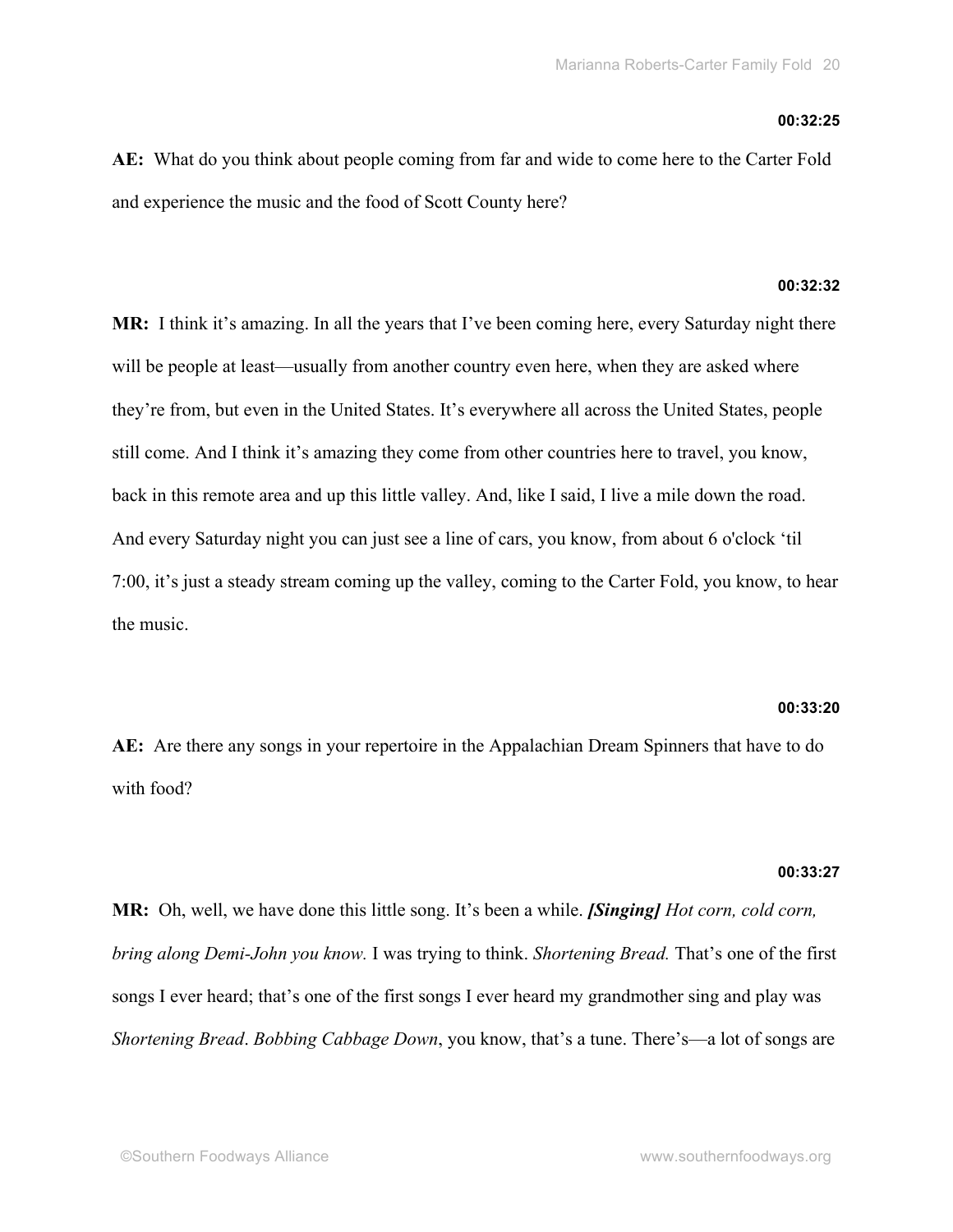### **00:32:25**

**AE:** What do you think about people coming from far and wide to come here to the Carter Fold and experience the music and the food of Scott County here?

# **00:32:32**

**MR:** I think it's amazing. In all the years that I've been coming here, every Saturday night there will be people at least—usually from another country even here, when they are asked where they're from, but even in the United States. It's everywhere all across the United States, people still come. And I think it's amazing they come from other countries here to travel, you know, back in this remote area and up this little valley. And, like I said, I live a mile down the road. And every Saturday night you can just see a line of cars, you know, from about 6 o'clock 'til 7:00, it's just a steady stream coming up the valley, coming to the Carter Fold, you know, to hear the music.

### **00:33:20**

**AE:** Are there any songs in your repertoire in the Appalachian Dream Spinners that have to do with food?

### **00:33:27**

**MR:** Oh, well, we have done this little song. It's been a while. *[Singing] Hot corn, cold corn, bring along Demi-John you know.* I was trying to think. *Shortening Bread.* That's one of the first songs I ever heard; that's one of the first songs I ever heard my grandmother sing and play was *Shortening Bread*. *Bobbing Cabbage Down*, you know, that's a tune. There's—a lot of songs are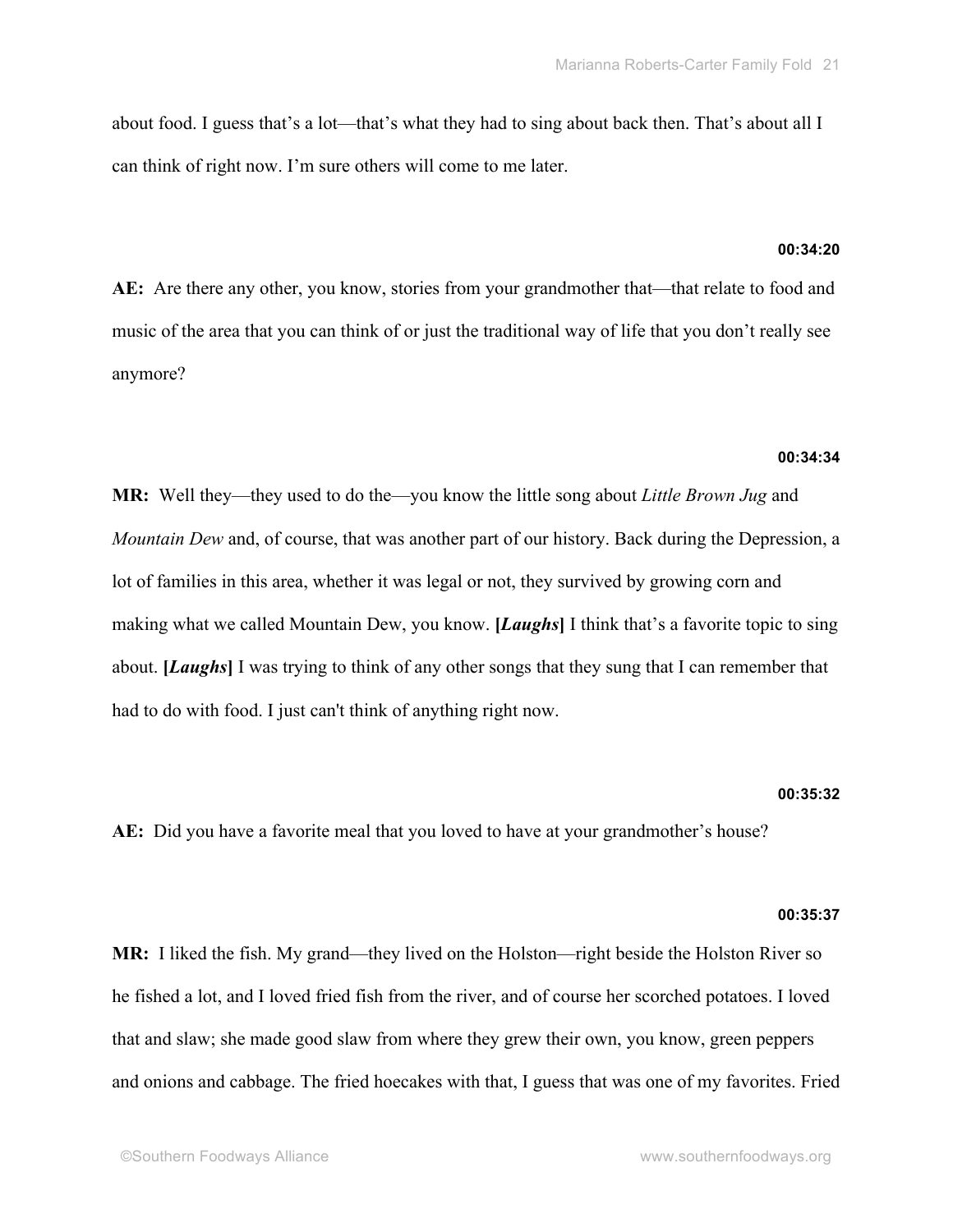about food. I guess that's a lot—that's what they had to sing about back then. That's about all I can think of right now. I'm sure others will come to me later.

### **00:34:20**

**AE:** Are there any other, you know, stories from your grandmother that—that relate to food and music of the area that you can think of or just the traditional way of life that you don't really see anymore?

# **00:34:34**

**MR:** Well they—they used to do the—you know the little song about *Little Brown Jug* and *Mountain Dew* and, of course, that was another part of our history. Back during the Depression, a lot of families in this area, whether it was legal or not, they survived by growing corn and making what we called Mountain Dew, you know. **[***Laughs***]** I think that's a favorite topic to sing about. **[***Laughs***]** I was trying to think of any other songs that they sung that I can remember that had to do with food. I just can't think of anything right now.

### **00:35:32**

**AE:** Did you have a favorite meal that you loved to have at your grandmother's house?

# **00:35:37**

**MR:** I liked the fish. My grand—they lived on the Holston—right beside the Holston River so he fished a lot, and I loved fried fish from the river, and of course her scorched potatoes. I loved that and slaw; she made good slaw from where they grew their own, you know, green peppers and onions and cabbage. The fried hoecakes with that, I guess that was one of my favorites. Fried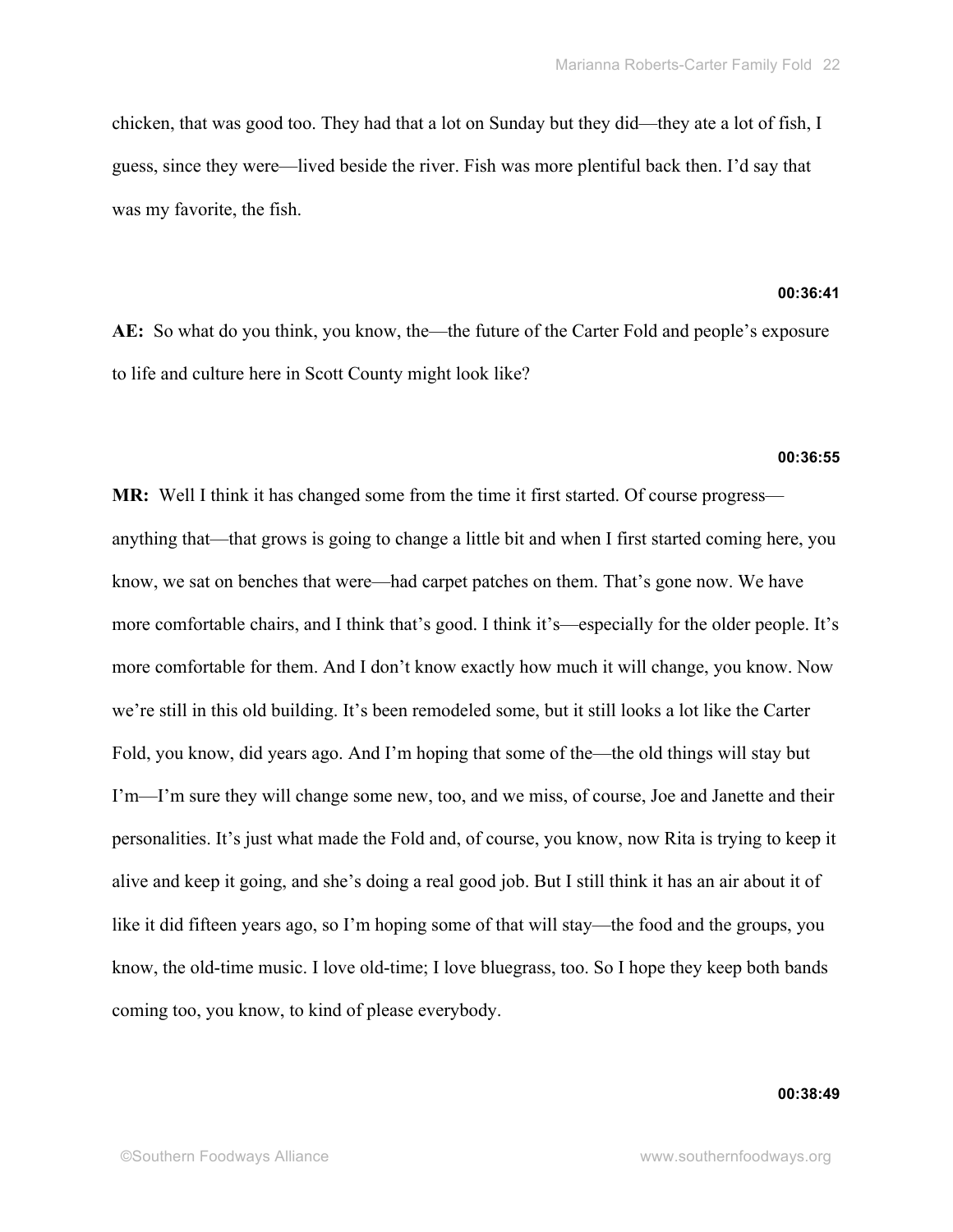chicken, that was good too. They had that a lot on Sunday but they did—they ate a lot of fish, I guess, since they were—lived beside the river. Fish was more plentiful back then. I'd say that was my favorite, the fish.

# **00:36:41**

**AE:** So what do you think, you know, the—the future of the Carter Fold and people's exposure to life and culture here in Scott County might look like?

# **00:36:55**

**MR:** Well I think it has changed some from the time it first started. Of course progress anything that—that grows is going to change a little bit and when I first started coming here, you know, we sat on benches that were—had carpet patches on them. That's gone now. We have more comfortable chairs, and I think that's good. I think it's—especially for the older people. It's more comfortable for them. And I don't know exactly how much it will change, you know. Now we're still in this old building. It's been remodeled some, but it still looks a lot like the Carter Fold, you know, did years ago. And I'm hoping that some of the—the old things will stay but I'm—I'm sure they will change some new, too, and we miss, of course, Joe and Janette and their personalities. It's just what made the Fold and, of course, you know, now Rita is trying to keep it alive and keep it going, and she's doing a real good job. But I still think it has an air about it of like it did fifteen years ago, so I'm hoping some of that will stay—the food and the groups, you know, the old-time music. I love old-time; I love bluegrass, too. So I hope they keep both bands coming too, you know, to kind of please everybody.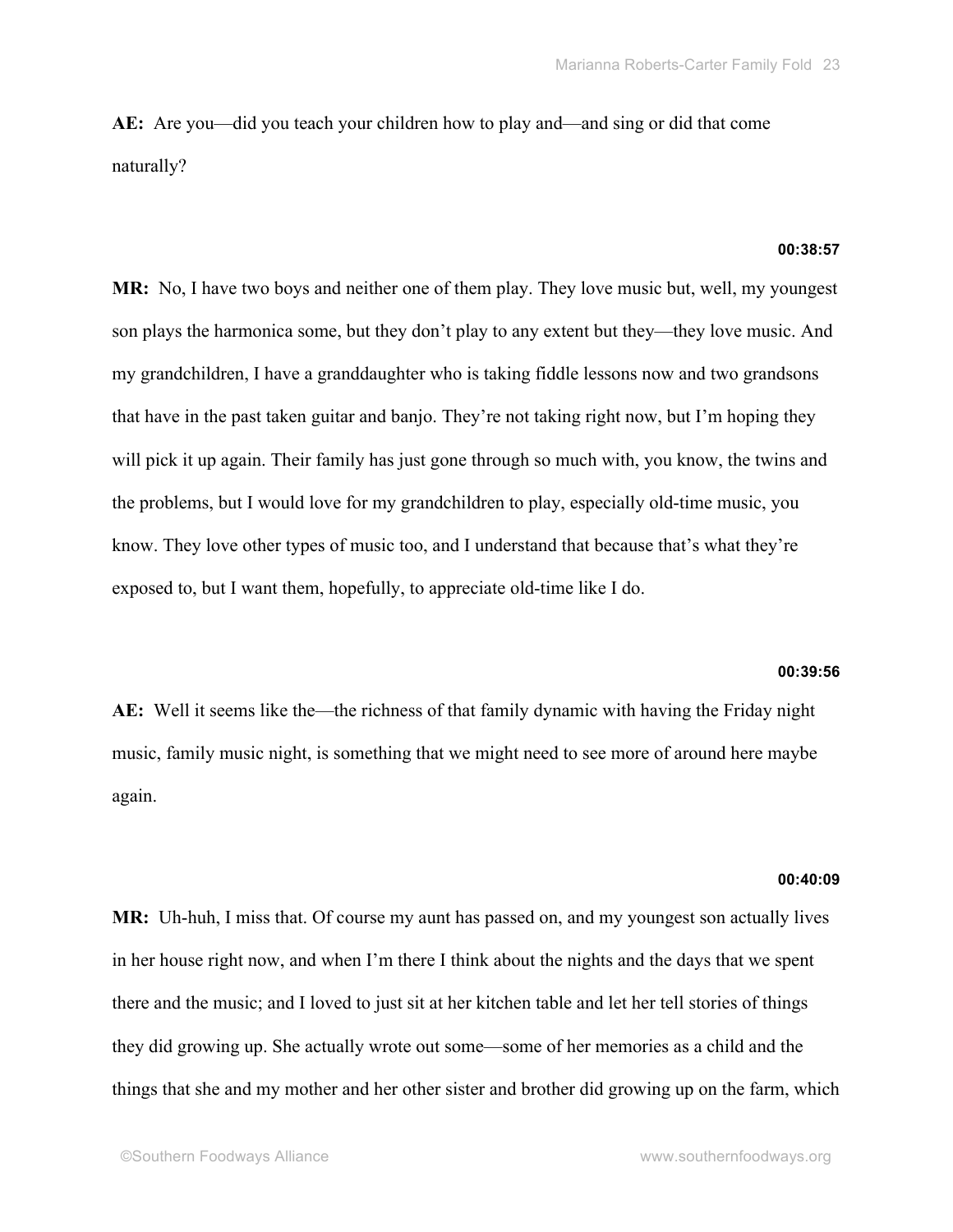**AE:** Are you—did you teach your children how to play and—and sing or did that come naturally?

### **00:38:57**

**MR:** No, I have two boys and neither one of them play. They love music but, well, my youngest son plays the harmonica some, but they don't play to any extent but they—they love music. And my grandchildren, I have a granddaughter who is taking fiddle lessons now and two grandsons that have in the past taken guitar and banjo. They're not taking right now, but I'm hoping they will pick it up again. Their family has just gone through so much with, you know, the twins and the problems, but I would love for my grandchildren to play, especially old-time music, you know. They love other types of music too, and I understand that because that's what they're exposed to, but I want them, hopefully, to appreciate old-time like I do.

# **00:39:56**

**AE:** Well it seems like the—the richness of that family dynamic with having the Friday night music, family music night, is something that we might need to see more of around here maybe again.

#### **00:40:09**

**MR:** Uh-huh, I miss that. Of course my aunt has passed on, and my youngest son actually lives in her house right now, and when I'm there I think about the nights and the days that we spent there and the music; and I loved to just sit at her kitchen table and let her tell stories of things they did growing up. She actually wrote out some—some of her memories as a child and the things that she and my mother and her other sister and brother did growing up on the farm, which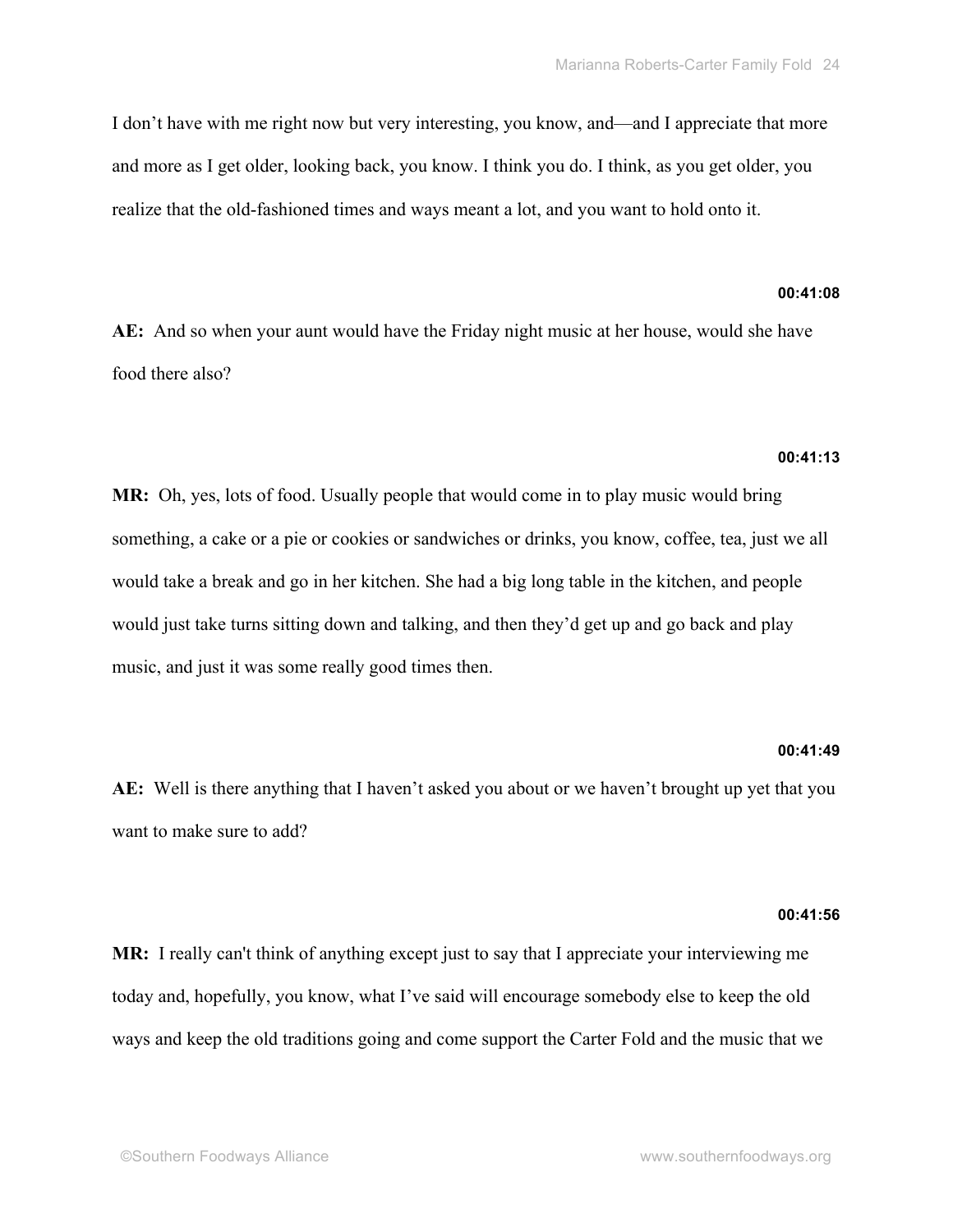I don't have with me right now but very interesting, you know, and—and I appreciate that more and more as I get older, looking back, you know. I think you do. I think, as you get older, you realize that the old-fashioned times and ways meant a lot, and you want to hold onto it.

# **00:41:08**

**AE:** And so when your aunt would have the Friday night music at her house, would she have food there also?

# **00:41:13**

**MR:** Oh, yes, lots of food. Usually people that would come in to play music would bring something, a cake or a pie or cookies or sandwiches or drinks, you know, coffee, tea, just we all would take a break and go in her kitchen. She had a big long table in the kitchen, and people would just take turns sitting down and talking, and then they'd get up and go back and play music, and just it was some really good times then.

### **00:41:49**

**AE:** Well is there anything that I haven't asked you about or we haven't brought up yet that you want to make sure to add?

### **00:41:56**

**MR:** I really can't think of anything except just to say that I appreciate your interviewing me today and, hopefully, you know, what I've said will encourage somebody else to keep the old ways and keep the old traditions going and come support the Carter Fold and the music that we